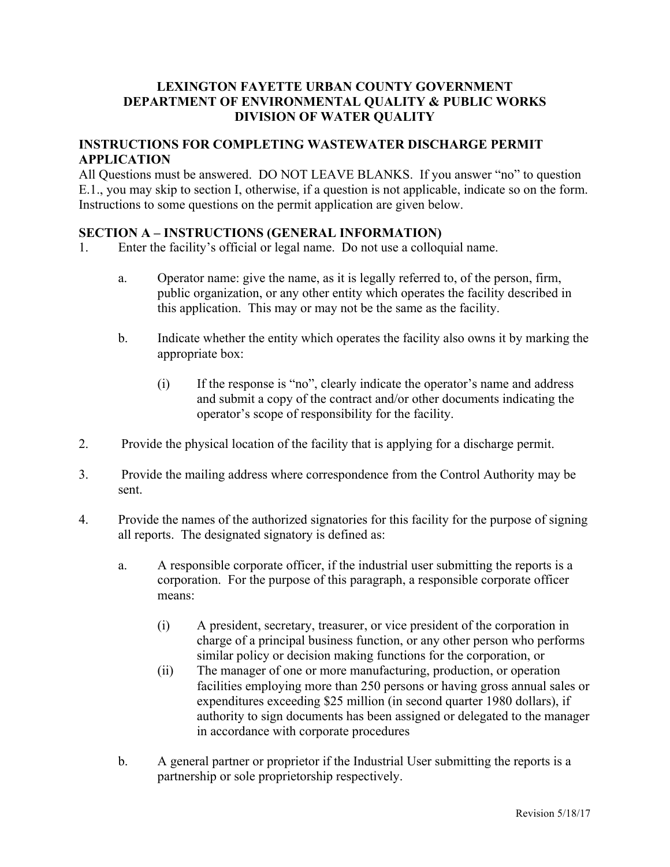# **LEXINGTON FAYETTE URBAN COUNTY GOVERNMENT DEPARTMENT OF ENVIRONMENTAL QUALITY & PUBLIC WORKS DIVISION OF WATER QUALITY**

# **INSTRUCTIONS FOR COMPLETING WASTEWATER DISCHARGE PERMIT APPLICATION**

All Questions must be answered. DO NOT LEAVE BLANKS. If you answer "no" to question E.1., you may skip to section I, otherwise, if a question is not applicable, indicate so on the form. Instructions to some questions on the permit application are given below.

# **SECTION A – INSTRUCTIONS (GENERAL INFORMATION)**

- 1. Enter the facility's official or legal name. Do not use a colloquial name.
	- a. Operator name: give the name, as it is legally referred to, of the person, firm, public organization, or any other entity which operates the facility described in this application. This may or may not be the same as the facility.
	- b. Indicate whether the entity which operates the facility also owns it by marking the appropriate box:
		- (i) If the response is "no", clearly indicate the operator's name and address and submit a copy of the contract and/or other documents indicating the operator's scope of responsibility for the facility.
- 2. Provide the physical location of the facility that is applying for a discharge permit.
- 3. Provide the mailing address where correspondence from the Control Authority may be sent.
- 4. Provide the names of the authorized signatories for this facility for the purpose of signing all reports. The designated signatory is defined as:
	- a. A responsible corporate officer, if the industrial user submitting the reports is a corporation. For the purpose of this paragraph, a responsible corporate officer means:
		- (i) A president, secretary, treasurer, or vice president of the corporation in charge of a principal business function, or any other person who performs similar policy or decision making functions for the corporation, or
		- (ii) The manager of one or more manufacturing, production, or operation facilities employing more than 250 persons or having gross annual sales or expenditures exceeding \$25 million (in second quarter 1980 dollars), if authority to sign documents has been assigned or delegated to the manager in accordance with corporate procedures
	- b. A general partner or proprietor if the Industrial User submitting the reports is a partnership or sole proprietorship respectively.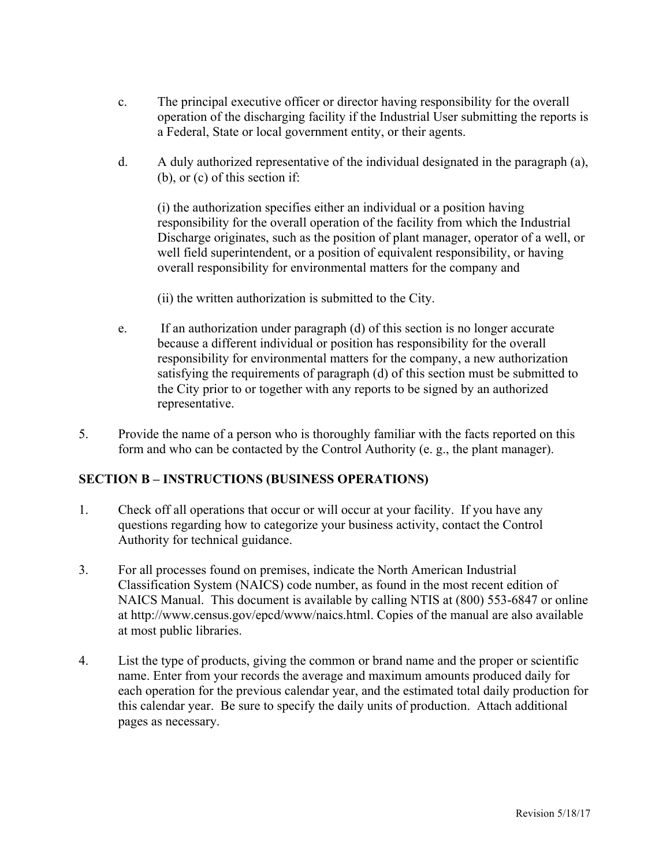- c. The principal executive officer or director having responsibility for the overall operation of the discharging facility if the Industrial User submitting the reports is a Federal, State or local government entity, or their agents.
- d. A duly authorized representative of the individual designated in the paragraph (a), (b), or (c) of this section if:

(i) the authorization specifies either an individual or a position having responsibility for the overall operation of the facility from which the Industrial Discharge originates, such as the position of plant manager, operator of a well, or well field superintendent, or a position of equivalent responsibility, or having overall responsibility for environmental matters for the company and

- (ii) the written authorization is submitted to the City.
- e. If an authorization under paragraph (d) of this section is no longer accurate because a different individual or position has responsibility for the overall responsibility for environmental matters for the company, a new authorization satisfying the requirements of paragraph (d) of this section must be submitted to the City prior to or together with any reports to be signed by an authorized representative.
- 5. Provide the name of a person who is thoroughly familiar with the facts reported on this form and who can be contacted by the Control Authority (e. g., the plant manager).

## **SECTION B – INSTRUCTIONS (BUSINESS OPERATIONS)**

- 1. Check off all operations that occur or will occur at your facility. If you have any questions regarding how to categorize your business activity, contact the Control Authority for technical guidance.
- 3. For all processes found on premises, indicate the North American Industrial Classification System (NAICS) code number, as found in the most recent edition of NAICS Manual. This document is available by calling NTIS at (800) 553-6847 or online at http://www.census.gov/epcd/www/naics.html. Copies of the manual are also available at most public libraries.
- 4. List the type of products, giving the common or brand name and the proper or scientific name. Enter from your records the average and maximum amounts produced daily for each operation for the previous calendar year, and the estimated total daily production for this calendar year. Be sure to specify the daily units of production. Attach additional pages as necessary.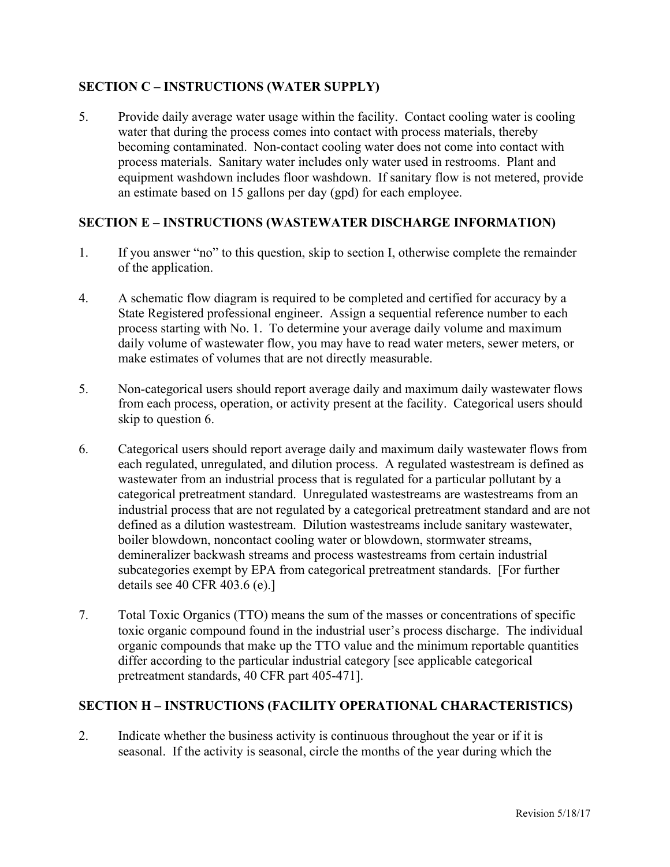# **SECTION C – INSTRUCTIONS (WATER SUPPLY)**

5. Provide daily average water usage within the facility. Contact cooling water is cooling water that during the process comes into contact with process materials, thereby becoming contaminated. Non-contact cooling water does not come into contact with process materials. Sanitary water includes only water used in restrooms. Plant and equipment washdown includes floor washdown. If sanitary flow is not metered, provide an estimate based on 15 gallons per day (gpd) for each employee.

# **SECTION E – INSTRUCTIONS (WASTEWATER DISCHARGE INFORMATION)**

- 1. If you answer "no" to this question, skip to section I, otherwise complete the remainder of the application.
- 4. A schematic flow diagram is required to be completed and certified for accuracy by a State Registered professional engineer. Assign a sequential reference number to each process starting with No. 1. To determine your average daily volume and maximum daily volume of wastewater flow, you may have to read water meters, sewer meters, or make estimates of volumes that are not directly measurable.
- 5. Non-categorical users should report average daily and maximum daily wastewater flows from each process, operation, or activity present at the facility. Categorical users should skip to question 6.
- 6. Categorical users should report average daily and maximum daily wastewater flows from each regulated, unregulated, and dilution process. A regulated wastestream is defined as wastewater from an industrial process that is regulated for a particular pollutant by a categorical pretreatment standard. Unregulated wastestreams are wastestreams from an industrial process that are not regulated by a categorical pretreatment standard and are not defined as a dilution wastestream. Dilution wastestreams include sanitary wastewater, boiler blowdown, noncontact cooling water or blowdown, stormwater streams, demineralizer backwash streams and process wastestreams from certain industrial subcategories exempt by EPA from categorical pretreatment standards. [For further details see 40 CFR 403.6 (e).]
- 7. Total Toxic Organics (TTO) means the sum of the masses or concentrations of specific toxic organic compound found in the industrial user's process discharge. The individual organic compounds that make up the TTO value and the minimum reportable quantities differ according to the particular industrial category [see applicable categorical pretreatment standards, 40 CFR part 405-471].

# **SECTION H – INSTRUCTIONS (FACILITY OPERATIONAL CHARACTERISTICS)**

2. Indicate whether the business activity is continuous throughout the year or if it is seasonal. If the activity is seasonal, circle the months of the year during which the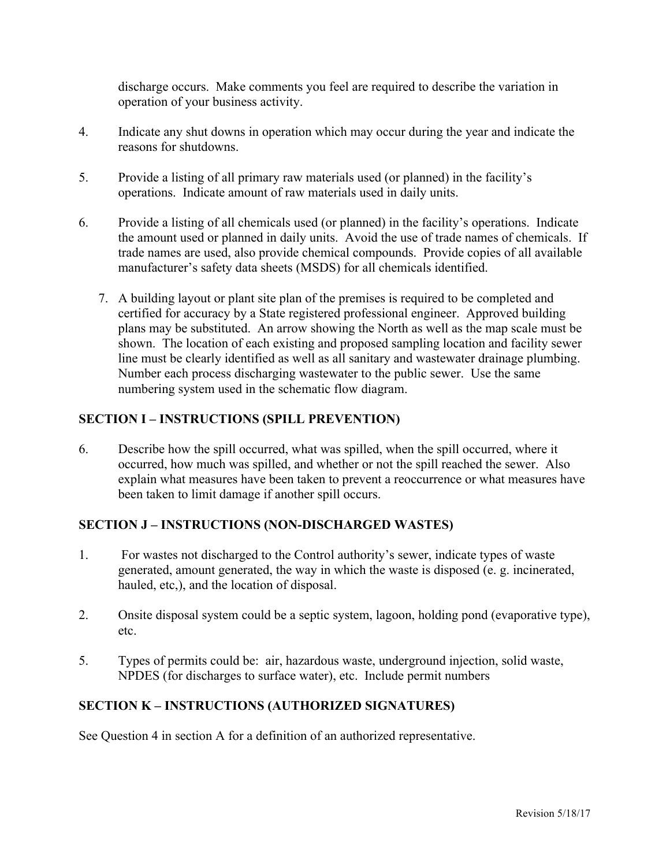discharge occurs. Make comments you feel are required to describe the variation in operation of your business activity.

- 4. Indicate any shut downs in operation which may occur during the year and indicate the reasons for shutdowns.
- 5. Provide a listing of all primary raw materials used (or planned) in the facility's operations. Indicate amount of raw materials used in daily units.
- 6. Provide a listing of all chemicals used (or planned) in the facility's operations. Indicate the amount used or planned in daily units. Avoid the use of trade names of chemicals. If trade names are used, also provide chemical compounds. Provide copies of all available manufacturer's safety data sheets (MSDS) for all chemicals identified.
	- 7. A building layout or plant site plan of the premises is required to be completed and certified for accuracy by a State registered professional engineer. Approved building plans may be substituted. An arrow showing the North as well as the map scale must be shown. The location of each existing and proposed sampling location and facility sewer line must be clearly identified as well as all sanitary and wastewater drainage plumbing. Number each process discharging wastewater to the public sewer. Use the same numbering system used in the schematic flow diagram.

# **SECTION I – INSTRUCTIONS (SPILL PREVENTION)**

6. Describe how the spill occurred, what was spilled, when the spill occurred, where it occurred, how much was spilled, and whether or not the spill reached the sewer. Also explain what measures have been taken to prevent a reoccurrence or what measures have been taken to limit damage if another spill occurs.

# **SECTION J – INSTRUCTIONS (NON-DISCHARGED WASTES)**

- 1. For wastes not discharged to the Control authority's sewer, indicate types of waste generated, amount generated, the way in which the waste is disposed (e. g. incinerated, hauled, etc,), and the location of disposal.
- 2. Onsite disposal system could be a septic system, lagoon, holding pond (evaporative type), etc.
- 5. Types of permits could be: air, hazardous waste, underground injection, solid waste, NPDES (for discharges to surface water), etc. Include permit numbers

# **SECTION K – INSTRUCTIONS (AUTHORIZED SIGNATURES)**

See Question 4 in section A for a definition of an authorized representative.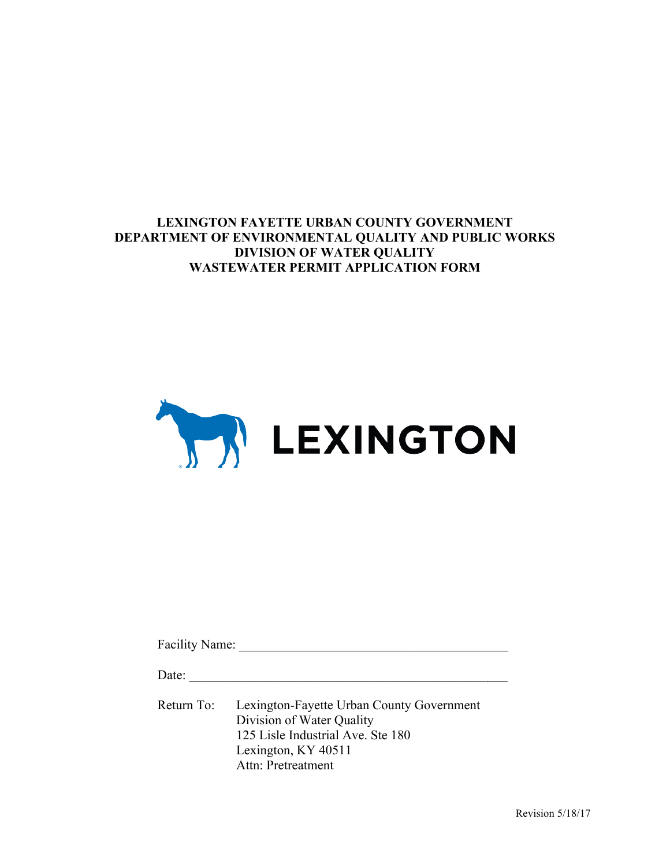**LEXINGTON FAYETTE URBAN COUNTY GOVERNMENT DEPARTMENT OF ENVIRONMENTAL QUALITY AND PUBLIC WORKS DIVISION OF WATER QUALITY WASTEWATER PERMIT APPLICATION FORM**



| Facility Name: |                                                                                                                                                          |
|----------------|----------------------------------------------------------------------------------------------------------------------------------------------------------|
| Date:          |                                                                                                                                                          |
| Return To:     | Lexington-Fayette Urban County Government<br>Division of Water Quality<br>125 Lisle Industrial Ave. Ste 180<br>Lexington, KY 40511<br>Attn: Pretreatment |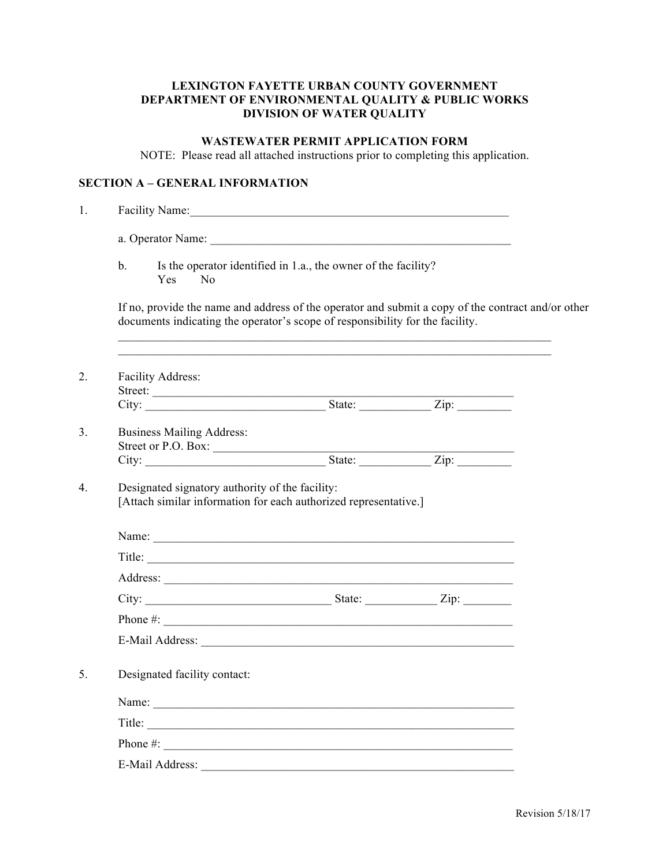## **LEXINGTON FAYETTE URBAN COUNTY GOVERNMENT DEPARTMENT OF ENVIRONMENTAL QUALITY & PUBLIC WORKS DIVISION OF WATER QUALITY**

# **WASTEWATER PERMIT APPLICATION FORM**

NOTE: Please read all attached instructions prior to completing this application.

## **SECTION A – GENERAL INFORMATION**

| $\mathbf b$ .<br>N <sub>0</sub><br>Yes                  | Is the operator identified in 1.a., the owner of the facility?                                                                                                                      |                    |  |
|---------------------------------------------------------|-------------------------------------------------------------------------------------------------------------------------------------------------------------------------------------|--------------------|--|
|                                                         | If no, provide the name and address of the operator and submit a copy of the contract and/or other<br>documents indicating the operator's scope of responsibility for the facility. |                    |  |
| Facility Address:                                       |                                                                                                                                                                                     |                    |  |
|                                                         |                                                                                                                                                                                     |                    |  |
| <b>Business Mailing Address:</b><br>Street or P.O. Box: |                                                                                                                                                                                     |                    |  |
|                                                         |                                                                                                                                                                                     | State: <u>Zip:</u> |  |
| Designated signatory authority of the facility:         |                                                                                                                                                                                     |                    |  |
|                                                         | [Attach similar information for each authorized representative.]                                                                                                                    |                    |  |
|                                                         |                                                                                                                                                                                     |                    |  |
|                                                         |                                                                                                                                                                                     |                    |  |
|                                                         |                                                                                                                                                                                     |                    |  |
|                                                         |                                                                                                                                                                                     |                    |  |
|                                                         | Phone $\#$ :                                                                                                                                                                        |                    |  |
|                                                         |                                                                                                                                                                                     |                    |  |
| Designated facility contact:                            |                                                                                                                                                                                     |                    |  |
|                                                         |                                                                                                                                                                                     |                    |  |
|                                                         |                                                                                                                                                                                     |                    |  |
| Phone $\#$ :                                            | Title:                                                                                                                                                                              |                    |  |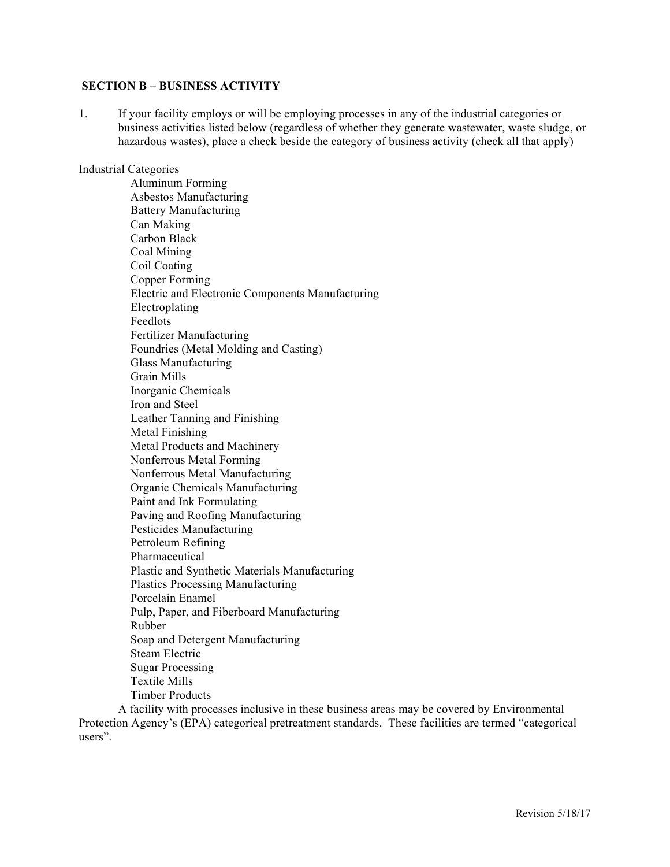#### **SECTION B – BUSINESS ACTIVITY**

1. If your facility employs or will be employing processes in any of the industrial categories or business activities listed below (regardless of whether they generate wastewater, waste sludge, or hazardous wastes), place a check beside the category of business activity (check all that apply)

#### Industrial Categories

 Aluminum Forming Asbestos Manufacturing Battery Manufacturing Can Making Carbon Black Coal Mining Coil Coating Copper Forming Electric and Electronic Components Manufacturing Electroplating Feedlots Fertilizer Manufacturing Foundries (Metal Molding and Casting) Glass Manufacturing Grain Mills Inorganic Chemicals Iron and Steel Leather Tanning and Finishing Metal Finishing Metal Products and Machinery Nonferrous Metal Forming Nonferrous Metal Manufacturing Organic Chemicals Manufacturing Paint and Ink Formulating Paving and Roofing Manufacturing Pesticides Manufacturing Petroleum Refining Pharmaceutical Plastic and Synthetic Materials Manufacturing Plastics Processing Manufacturing Porcelain Enamel Pulp, Paper, and Fiberboard Manufacturing Rubber Soap and Detergent Manufacturing Steam Electric Sugar Processing Textile Mills Timber Products

A facility with processes inclusive in these business areas may be covered by Environmental Protection Agency's (EPA) categorical pretreatment standards. These facilities are termed "categorical users".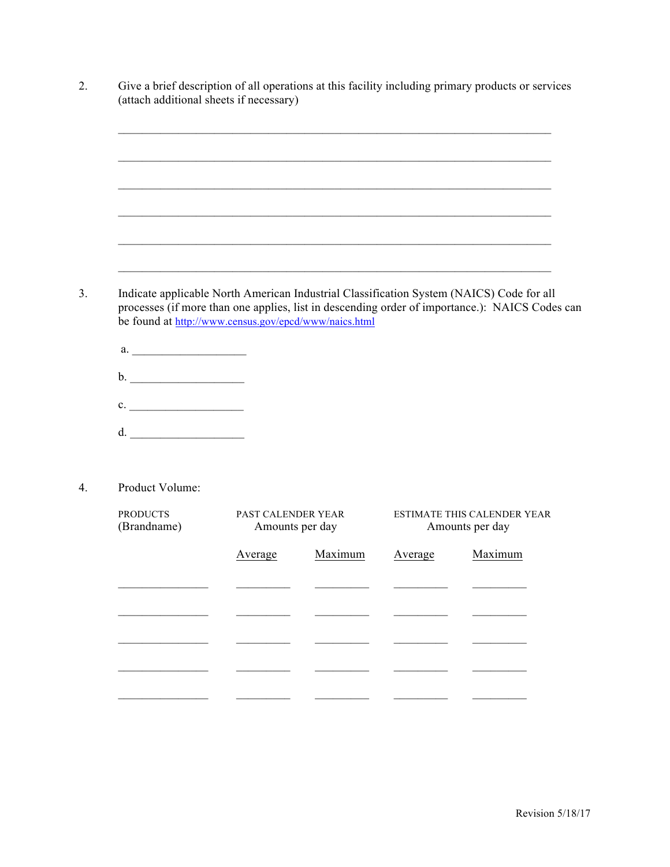|                                                                                                |                    |                 |         | <u> 1989 - Johann John Stoff, deutscher Stoffen und der Stoffen und der Stoffen und der Stoffen und der Stoffen u</u> |
|------------------------------------------------------------------------------------------------|--------------------|-----------------|---------|-----------------------------------------------------------------------------------------------------------------------|
|                                                                                                |                    |                 |         |                                                                                                                       |
|                                                                                                |                    |                 |         |                                                                                                                       |
|                                                                                                |                    |                 |         |                                                                                                                       |
| Indicate applicable North American Industrial Classification System (NAICS) Code for all       |                    |                 |         |                                                                                                                       |
| processes (if more than one applies, list in descending order of importance.): NAICS Codes can |                    |                 |         |                                                                                                                       |
| be found at http://www.census.gov/epcd/www/naics.html                                          |                    |                 |         |                                                                                                                       |
|                                                                                                |                    |                 |         |                                                                                                                       |
|                                                                                                |                    |                 |         |                                                                                                                       |
|                                                                                                |                    |                 |         |                                                                                                                       |
| c.                                                                                             |                    |                 |         |                                                                                                                       |
|                                                                                                |                    |                 |         |                                                                                                                       |
| $d. \begin{tabular}{l} \hline \end{tabular}$                                                   |                    |                 |         |                                                                                                                       |
| Product Volume:                                                                                |                    |                 |         |                                                                                                                       |
| <b>PRODUCTS</b><br>(Brandname)                                                                 | PAST CALENDER YEAR | Amounts per day |         | Amounts per day                                                                                                       |
|                                                                                                | Average            | Maximum         | Average | Maximum                                                                                                               |
|                                                                                                |                    |                 |         | ESTIMATE THIS CALENDER YEAR                                                                                           |
|                                                                                                |                    |                 |         |                                                                                                                       |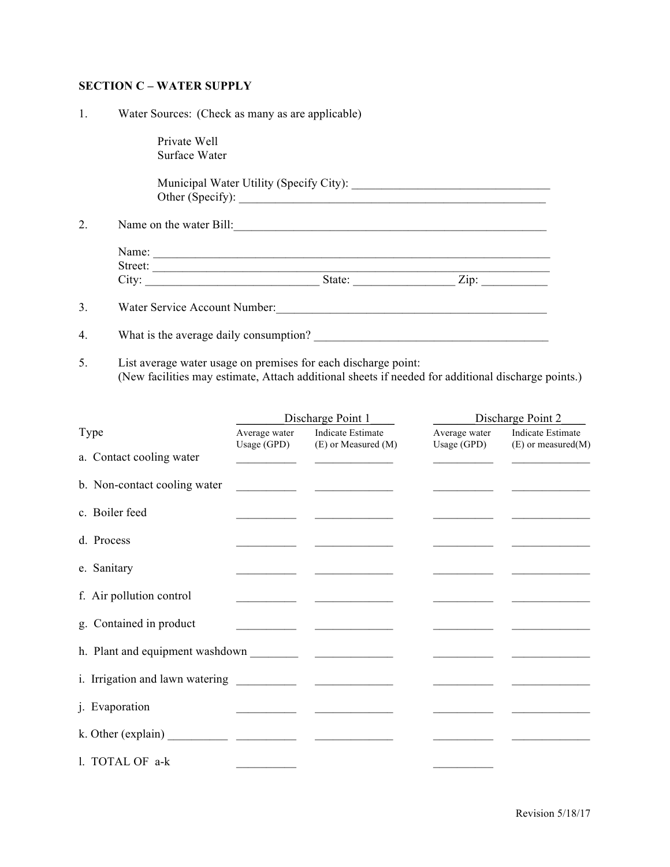## **SECTION C – WATER SUPPLY**

1. Water Sources: (Check as many as are applicable)

 Private Well Surface Water

 Municipal Water Utility (Specify City): \_\_\_\_\_\_\_\_\_\_\_\_\_\_\_\_\_\_\_\_\_\_\_\_\_\_\_\_\_\_\_\_\_ Other (Specify): \_\_\_\_\_\_\_\_\_\_\_\_\_\_\_\_\_\_\_\_\_\_\_\_\_\_\_\_\_\_\_\_\_\_\_\_\_\_\_\_\_\_\_\_\_\_\_\_\_\_\_

2. Name on the water Bill:

| Name:   |        |      |  |
|---------|--------|------|--|
| Street: |        |      |  |
| City:   | State: | Zip: |  |

3. Water Service Account Number:

| What is the average daily consumption? |  |
|----------------------------------------|--|
|                                        |  |

5. List average water usage on premises for each discharge point: (New facilities may estimate, Attach additional sheets if needed for additional discharge points.)

|                              |                                                                                                                     |                                                      | Discharge Point 1<br>Discharge Point 2 |                                              |  |
|------------------------------|---------------------------------------------------------------------------------------------------------------------|------------------------------------------------------|----------------------------------------|----------------------------------------------|--|
| Type                         | Average water                                                                                                       | Indicate Estimate<br>Usage (GPD) (E) or Measured (M) | Average water<br>Usage (GPD)           | Indicate Estimate<br>$(E)$ or measured $(M)$ |  |
| a. Contact cooling water     | <u> 1989 - John Harry Harry Harry Harry Harry Harry Harry Harry Harry Harry Harry Harry Harry Harry Harry Harry</u> |                                                      |                                        |                                              |  |
| b. Non-contact cooling water |                                                                                                                     |                                                      |                                        |                                              |  |
| c. Boiler feed               |                                                                                                                     |                                                      |                                        |                                              |  |
| d. Process                   |                                                                                                                     |                                                      |                                        |                                              |  |
| e. Sanitary                  |                                                                                                                     |                                                      |                                        |                                              |  |
| f. Air pollution control     |                                                                                                                     |                                                      |                                        |                                              |  |
| g. Contained in product      |                                                                                                                     |                                                      |                                        |                                              |  |
|                              |                                                                                                                     |                                                      |                                        |                                              |  |
|                              |                                                                                                                     |                                                      |                                        |                                              |  |
| j. Evaporation               |                                                                                                                     |                                                      |                                        |                                              |  |
|                              |                                                                                                                     |                                                      |                                        |                                              |  |
| 1. TOTAL OF a-k              |                                                                                                                     |                                                      |                                        |                                              |  |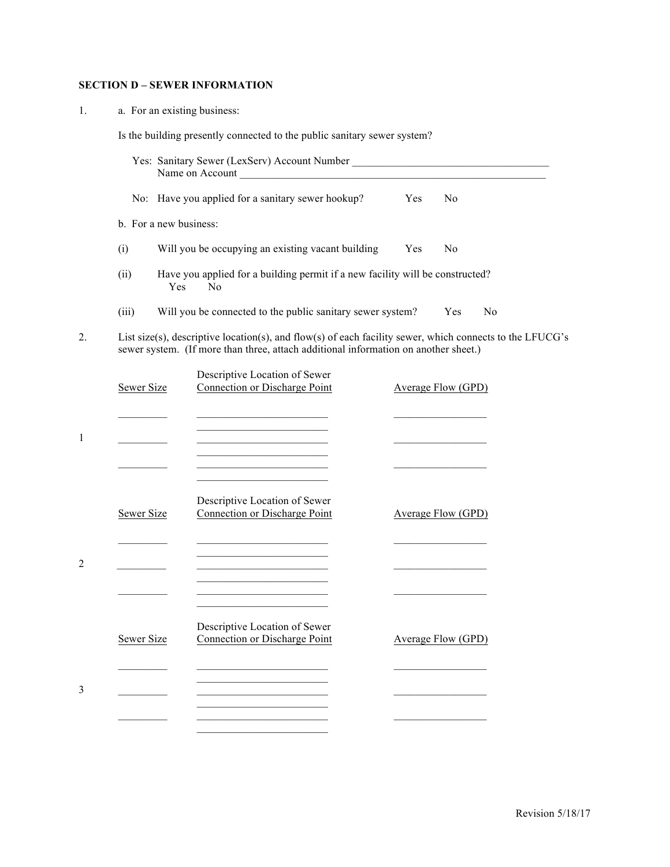# **SECTION D – SEWER INFORMATION**

1. a. For an existing business:

Is the building presently connected to the public sanitary sewer system?

|                        | Yes: Sanitary Sewer (LexServ) Account Number                                                                                                                                                                                         |     |                           |                |
|------------------------|--------------------------------------------------------------------------------------------------------------------------------------------------------------------------------------------------------------------------------------|-----|---------------------------|----------------|
|                        | No: Have you applied for a sanitary sewer hookup?                                                                                                                                                                                    | Yes | N <sub>0</sub>            |                |
| b. For a new business: |                                                                                                                                                                                                                                      |     |                           |                |
| (i)                    | Will you be occupying an existing vacant building                                                                                                                                                                                    | Yes | N <sub>0</sub>            |                |
| (ii)                   | Have you applied for a building permit if a new facility will be constructed?<br>Yes<br>N <sub>0</sub>                                                                                                                               |     |                           |                |
| (iii)                  | Will you be connected to the public sanitary sewer system?                                                                                                                                                                           |     | Yes                       | N <sub>0</sub> |
|                        | List size(s), descriptive location(s), and flow(s) of each facility sewer, which connects to the LFUCG's<br>sewer system. (If more than three, attach additional information on another sheet.)                                      |     |                           |                |
| Sewer Size             | Descriptive Location of Sewer<br>Connection or Discharge Point                                                                                                                                                                       |     | Average Flow (GPD)        |                |
|                        | the control of the control of the control of the control of the<br>the control of the control of the control of the control of the control of the control of                                                                         |     |                           |                |
|                        | the control of the control of the control of the control of the control of<br><u> 1990 - Johann Barbara, martxa alemani</u> ar a                                                                                                     |     |                           |                |
|                        | <u> 1989 - Johann John Stone, markin film yn y breninnas y breninnas y breninn y breninn y breninn y breninn y br</u><br>the control of the control of the control of the control of                                                 |     |                           |                |
| <b>Sewer Size</b>      | Descriptive Location of Sewer<br>Connection or Discharge Point                                                                                                                                                                       |     | <b>Average Flow (GPD)</b> |                |
|                        |                                                                                                                                                                                                                                      |     |                           |                |
|                        | the control of the control of the control of the                                                                                                                                                                                     |     |                           |                |
|                        | <u> 1989 - Johann Harry Harry Harry Harry Harry Harry Harry Harry Harry Harry Harry Harry Harry Harry Harry Harry Harry Harry Harry Harry Harry Harry Harry Harry Harry Harry Harry Harry Harry Harry Harry Harry Harry Harry Ha</u> |     |                           |                |
| Sewer Size             | Descriptive Location of Sewer<br>Connection or Discharge Point                                                                                                                                                                       |     | <b>Average Flow (GPD)</b> |                |
|                        |                                                                                                                                                                                                                                      |     |                           |                |
|                        |                                                                                                                                                                                                                                      |     |                           |                |
|                        |                                                                                                                                                                                                                                      |     |                           |                |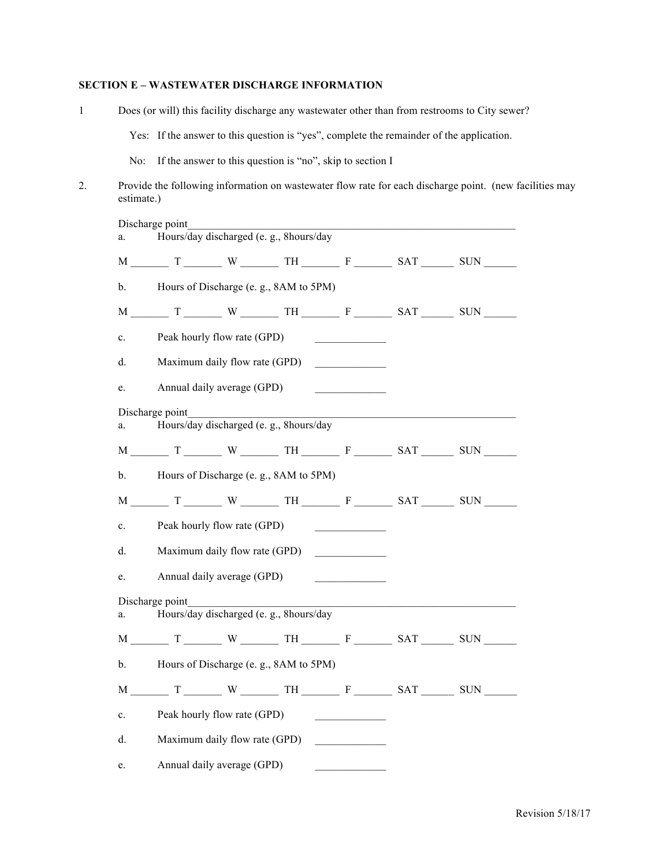### **SECTION E – WASTEWATER DISCHARGE INFORMATION**

| $\mathbf{1}$ | Does (or will) this facility discharge any wastewater other than from restrooms to City sewer? |                                                            |  |                                                           |                                                  |  |                                                                                          |                                                                                                         |
|--------------|------------------------------------------------------------------------------------------------|------------------------------------------------------------|--|-----------------------------------------------------------|--------------------------------------------------|--|------------------------------------------------------------------------------------------|---------------------------------------------------------------------------------------------------------|
|              |                                                                                                |                                                            |  |                                                           |                                                  |  | Yes: If the answer to this question is "yes", complete the remainder of the application. |                                                                                                         |
|              | No:                                                                                            |                                                            |  | If the answer to this question is "no", skip to section I |                                                  |  |                                                                                          |                                                                                                         |
| 2.           | estimate.)                                                                                     |                                                            |  |                                                           |                                                  |  |                                                                                          | Provide the following information on wastewater flow rate for each discharge point. (new facilities may |
|              | a.                                                                                             | Discharge point                                            |  |                                                           |                                                  |  |                                                                                          |                                                                                                         |
|              |                                                                                                |                                                            |  |                                                           |                                                  |  | $M$ $T$ $W$ $T$ $T$ $N$ $T$ $T$ $T$                                                      |                                                                                                         |
|              | $\mathbf{b}$ .                                                                                 |                                                            |  | Hours of Discharge (e. g., 8AM to 5PM)                    |                                                  |  |                                                                                          |                                                                                                         |
|              |                                                                                                |                                                            |  |                                                           |                                                  |  |                                                                                          |                                                                                                         |
|              | c.                                                                                             | Peak hourly flow rate (GPD)                                |  |                                                           |                                                  |  |                                                                                          |                                                                                                         |
|              | d.                                                                                             |                                                            |  | Maximum daily flow rate (GPD)                             |                                                  |  |                                                                                          |                                                                                                         |
|              | e.                                                                                             | Annual daily average (GPD)                                 |  |                                                           |                                                  |  |                                                                                          |                                                                                                         |
|              |                                                                                                | Discharge point<br>Hours/day discharged (e. g., 8hours/day |  |                                                           |                                                  |  |                                                                                          |                                                                                                         |
|              | a.                                                                                             |                                                            |  |                                                           |                                                  |  |                                                                                          |                                                                                                         |
|              |                                                                                                |                                                            |  |                                                           |                                                  |  |                                                                                          |                                                                                                         |
|              | $\mathbf{b}$ .                                                                                 |                                                            |  | Hours of Discharge (e. g., 8AM to 5PM)                    |                                                  |  |                                                                                          |                                                                                                         |
|              |                                                                                                |                                                            |  |                                                           |                                                  |  |                                                                                          |                                                                                                         |
|              | $\mathbf{c}$ .                                                                                 | Peak hourly flow rate (GPD)                                |  |                                                           |                                                  |  |                                                                                          |                                                                                                         |
|              | d.                                                                                             |                                                            |  | Maximum daily flow rate (GPD)                             |                                                  |  |                                                                                          |                                                                                                         |
|              | e.                                                                                             | Annual daily average (GPD)                                 |  |                                                           |                                                  |  |                                                                                          |                                                                                                         |
|              |                                                                                                | Discharge point                                            |  |                                                           |                                                  |  |                                                                                          |                                                                                                         |
|              | a.                                                                                             |                                                            |  | Hours/day discharged (e. g., 8hours/day                   |                                                  |  |                                                                                          |                                                                                                         |
|              |                                                                                                |                                                            |  |                                                           |                                                  |  |                                                                                          |                                                                                                         |
|              | b.                                                                                             |                                                            |  | Hours of Discharge (e. g., 8AM to 5PM)                    |                                                  |  |                                                                                          |                                                                                                         |
|              |                                                                                                |                                                            |  |                                                           |                                                  |  |                                                                                          |                                                                                                         |
|              | $\mathbf{c}$ .                                                                                 | Peak hourly flow rate (GPD)                                |  |                                                           | <u> 1989 - Andrea Stationer, Amerikaansk kon</u> |  |                                                                                          |                                                                                                         |
|              | d.                                                                                             | Maximum daily flow rate (GPD)                              |  |                                                           |                                                  |  |                                                                                          |                                                                                                         |
|              | e.                                                                                             | Annual daily average (GPD)                                 |  |                                                           |                                                  |  |                                                                                          |                                                                                                         |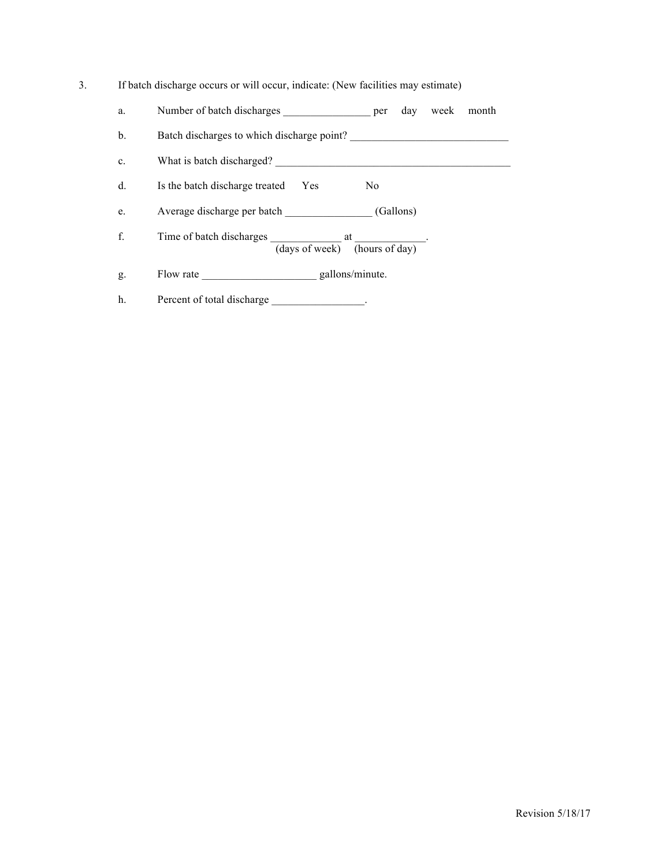| s. | If batch discharge occurs or will occur, indicate: (New facilities may estimate) |  |  |
|----|----------------------------------------------------------------------------------|--|--|
|    |                                                                                  |  |  |

- a. Number of batch discharges \_\_\_\_\_\_\_\_\_\_\_\_\_\_\_\_\_\_\_\_ per day week month
- b. Batch discharges to which discharge point? \_\_\_\_\_\_\_\_\_\_\_\_\_\_\_\_\_\_\_\_\_\_\_\_\_\_\_\_\_\_\_\_\_\_
- c. What is batch discharged? \_\_\_\_\_\_\_\_\_\_\_\_\_\_\_\_\_\_\_\_\_\_\_\_\_\_\_\_\_\_\_\_\_\_\_\_\_\_\_\_\_\_\_
- d. Is the batch discharge treated Yes No
- e. Average discharge per batch \_\_\_\_\_\_\_\_\_\_\_\_\_\_\_ (Gallons)
- f. Time of batch discharges at Time of batch discharges at Time of batch discharges (days of week) (hours of day)
- g. Flow rate \_\_\_\_\_\_\_\_\_\_\_\_\_\_\_\_\_\_\_\_\_\_\_\_\_\_ gallons/minute.
- h. Percent of total discharge \_\_\_\_\_\_\_\_\_\_\_\_\_\_.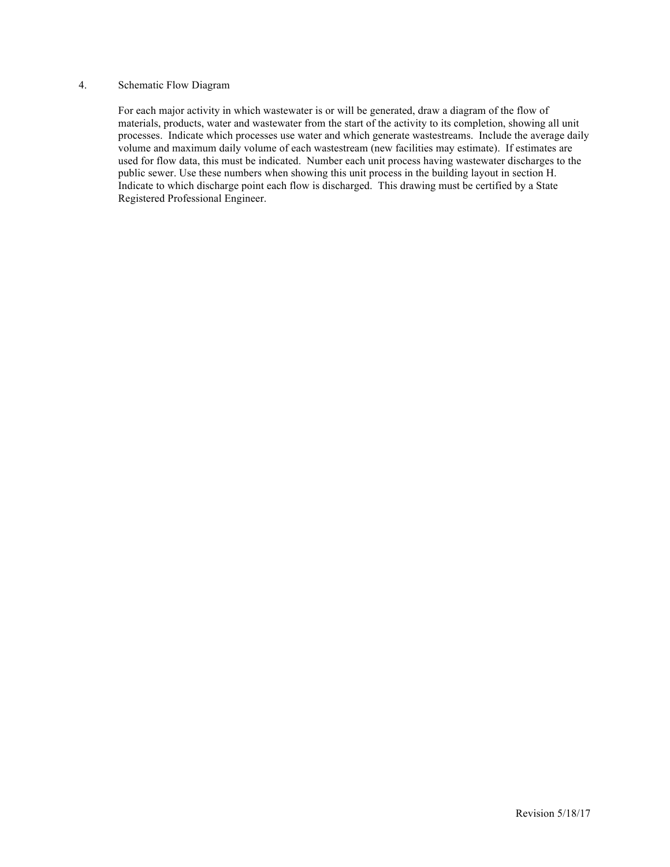#### 4. Schematic Flow Diagram

For each major activity in which wastewater is or will be generated, draw a diagram of the flow of materials, products, water and wastewater from the start of the activity to its completion, showing all unit processes. Indicate which processes use water and which generate wastestreams. Include the average daily volume and maximum daily volume of each wastestream (new facilities may estimate). If estimates are used for flow data, this must be indicated. Number each unit process having wastewater discharges to the public sewer. Use these numbers when showing this unit process in the building layout in section H. Indicate to which discharge point each flow is discharged. This drawing must be certified by a State Registered Professional Engineer.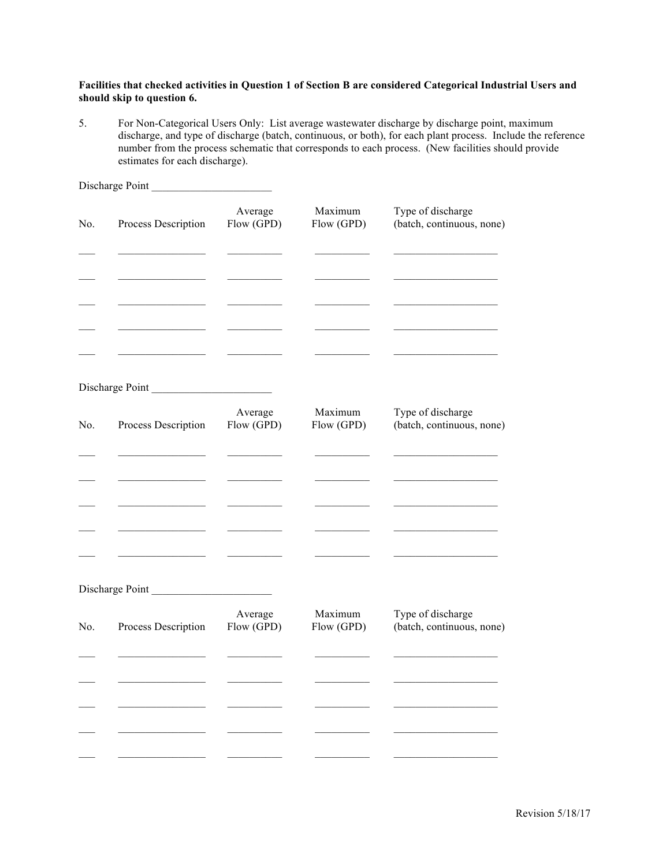#### **Facilities that checked activities in Question 1 of Section B are considered Categorical Industrial Users and should skip to question 6.**

5. For Non-Categorical Users Only: List average wastewater discharge by discharge point, maximum discharge, and type of discharge (batch, continuous, or both), for each plant process. Include the reference number from the process schematic that corresponds to each process. (New facilities should provide estimates for each discharge).

|     | Discharge Point     |                       |                       |                                                |
|-----|---------------------|-----------------------|-----------------------|------------------------------------------------|
| No. | Process Description | Average<br>Flow (GPD) | Maximum<br>Flow (GPD) | Type of discharge<br>(batch, continuous, none) |
|     |                     |                       |                       |                                                |
|     |                     |                       |                       |                                                |
|     |                     |                       |                       |                                                |
|     | Discharge Point     |                       |                       |                                                |
| No. | Process Description | Average<br>Flow (GPD) | Maximum<br>Flow (GPD) | Type of discharge<br>(batch, continuous, none) |
|     |                     |                       |                       |                                                |
|     |                     |                       |                       |                                                |
|     |                     |                       |                       |                                                |
|     | Discharge Point     |                       |                       |                                                |
| No. | Process Description | Average<br>Flow (GPD) | Maximum<br>Flow (GPD) | Type of discharge<br>(batch, continuous, none) |
|     |                     |                       |                       |                                                |
|     |                     |                       |                       |                                                |
|     |                     |                       |                       |                                                |
|     |                     |                       |                       |                                                |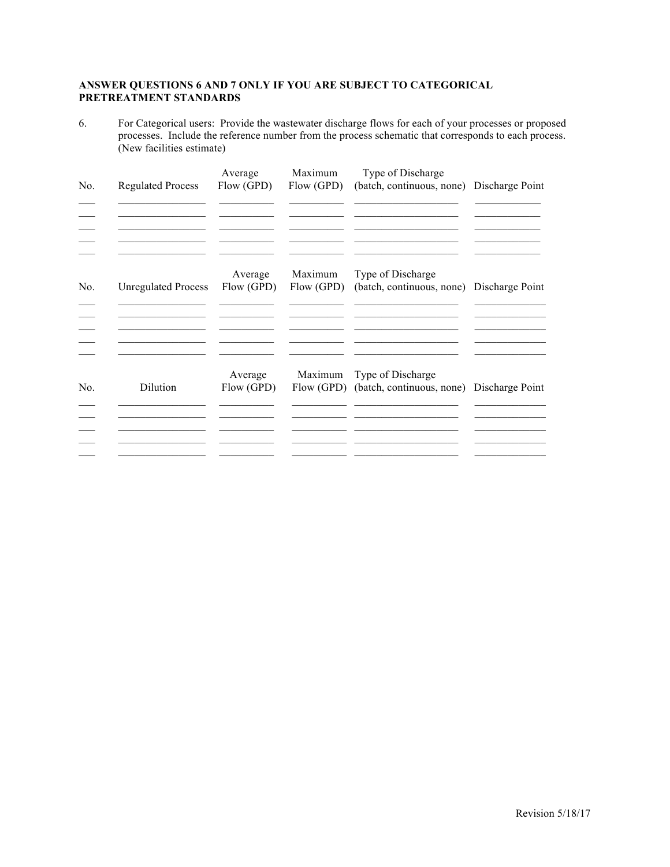### **ANSWER QUESTIONS 6 AND 7 ONLY IF YOU ARE SUBJECT TO CATEGORICAL PRETREATMENT STANDARDS**

6. For Categorical users: Provide the wastewater discharge flows for each of your processes or proposed processes. Include the reference number from the process schematic that corresponds to each process. (New facilities estimate)

| No. | <b>Regulated Process</b>   | Average<br>Flow (GPD) | Maximum<br>Flow (GPD) | Type of Discharge<br>(batch, continuous, none) Discharge Point |  |
|-----|----------------------------|-----------------------|-----------------------|----------------------------------------------------------------|--|
|     |                            |                       |                       |                                                                |  |
| No. | <b>Unregulated Process</b> | Average<br>Flow (GPD) | Maximum<br>Flow (GPD) | Type of Discharge<br>(batch, continuous, none) Discharge Point |  |
|     |                            |                       |                       |                                                                |  |
| No. | Dilution                   | Average<br>Flow (GPD) | Maximum<br>Flow (GPD) | Type of Discharge<br>(batch, continuous, none) Discharge Point |  |
|     |                            |                       |                       |                                                                |  |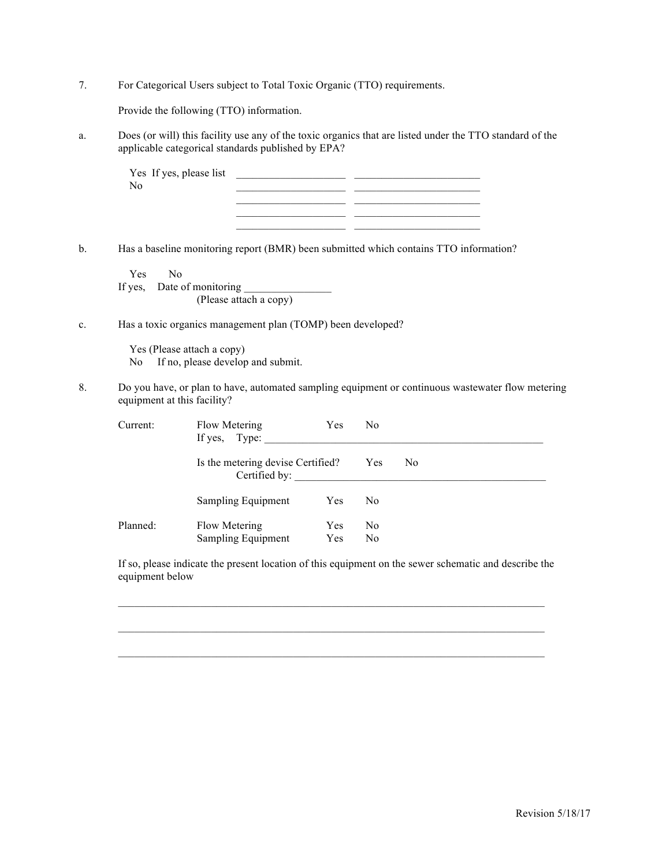7. For Categorical Users subject to Total Toxic Organic (TTO) requirements.

Provide the following (TTO) information.

a. Does (or will) this facility use any of the toxic organics that are listed under the TTO standard of the applicable categorical standards published by EPA?

\_\_\_\_\_\_\_\_\_\_\_\_\_\_\_\_\_\_\_\_ \_\_\_\_\_\_\_\_\_\_\_\_\_\_\_\_\_\_\_\_\_\_\_

| Yes If yes, please list |  |
|-------------------------|--|
| No                      |  |
|                         |  |
|                         |  |

b. Has a baseline monitoring report (BMR) been submitted which contains TTO information?

 Yes No If yes, Date of monitoring \_\_\_\_\_\_\_\_\_\_\_\_\_\_\_\_ (Please attach a copy)

c. Has a toxic organics management plan (TOMP) been developed?

 Yes (Please attach a copy) No If no, please develop and submit.

8. Do you have, or plan to have, automated sampling equipment or continuous wastewater flow metering equipment at this facility?

| Current: | Flow Metering<br>If yes, Type:                     | Yes        | N0             |    |  |
|----------|----------------------------------------------------|------------|----------------|----|--|
|          | Is the metering devise Certified?<br>Certified by: |            | Yes            | N0 |  |
|          | Sampling Equipment                                 | <b>Yes</b> | N <sub>0</sub> |    |  |
| Planned: | Flow Metering                                      | Yes        | N0             |    |  |
|          | Sampling Equipment                                 | Yes        | N <sub>0</sub> |    |  |

If so, please indicate the present location of this equipment on the sewer schematic and describe the equipment below

 $\mathcal{L}_\text{max}$ 

 $\mathcal{L}_\mathcal{L} = \{ \mathcal{L}_\mathcal{L} = \{ \mathcal{L}_\mathcal{L} = \{ \mathcal{L}_\mathcal{L} = \{ \mathcal{L}_\mathcal{L} = \{ \mathcal{L}_\mathcal{L} = \{ \mathcal{L}_\mathcal{L} = \{ \mathcal{L}_\mathcal{L} = \{ \mathcal{L}_\mathcal{L} = \{ \mathcal{L}_\mathcal{L} = \{ \mathcal{L}_\mathcal{L} = \{ \mathcal{L}_\mathcal{L} = \{ \mathcal{L}_\mathcal{L} = \{ \mathcal{L}_\mathcal{L} = \{ \mathcal{L}_\mathcal{$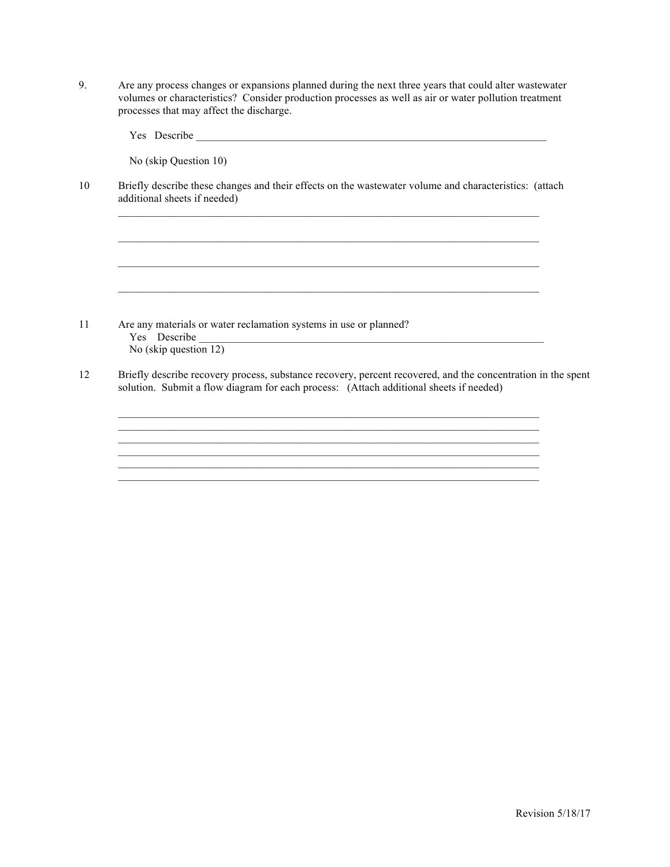9. Are any process changes or expansions planned during the next three years that could alter wastewater volumes or characteristics? Consider production processes as well as air or water pollution treatment processes that may affect the discharge.

Yes Describe \_\_\_\_\_\_\_\_\_\_\_\_\_\_\_\_\_\_\_\_\_\_\_\_\_\_\_\_\_\_\_\_\_\_\_\_\_\_\_\_\_\_\_\_\_\_\_\_\_\_\_\_\_\_\_\_\_\_\_\_\_\_\_\_

No (skip Question 10)

10 Briefly describe these changes and their effects on the wastewater volume and characteristics: (attach additional sheets if needed)

 $\mathcal{L}_\text{max}$ 

 $\mathcal{L}_\mathcal{L} = \{ \mathcal{L}_\mathcal{L} = \{ \mathcal{L}_\mathcal{L} = \{ \mathcal{L}_\mathcal{L} = \{ \mathcal{L}_\mathcal{L} = \{ \mathcal{L}_\mathcal{L} = \{ \mathcal{L}_\mathcal{L} = \{ \mathcal{L}_\mathcal{L} = \{ \mathcal{L}_\mathcal{L} = \{ \mathcal{L}_\mathcal{L} = \{ \mathcal{L}_\mathcal{L} = \{ \mathcal{L}_\mathcal{L} = \{ \mathcal{L}_\mathcal{L} = \{ \mathcal{L}_\mathcal{L} = \{ \mathcal{L}_\mathcal{$ 

11 Are any materials or water reclamation systems in use or planned? Yes Describe No (skip question 12)

12 Briefly describe recovery process, substance recovery, percent recovered, and the concentration in the spent solution. Submit a flow diagram for each process: (Attach additional sheets if needed)

> \_\_\_\_\_\_\_\_\_\_\_\_\_\_\_\_\_\_\_\_\_\_\_\_\_\_\_\_\_\_\_\_\_\_\_\_\_\_\_\_\_\_\_\_\_\_\_\_\_\_\_\_\_\_\_\_\_\_\_\_\_\_\_\_\_\_\_\_\_\_\_\_\_\_\_\_\_  $\mathcal{L}_\mathcal{L} = \{ \mathcal{L}_\mathcal{L} = \{ \mathcal{L}_\mathcal{L} = \{ \mathcal{L}_\mathcal{L} = \{ \mathcal{L}_\mathcal{L} = \{ \mathcal{L}_\mathcal{L} = \{ \mathcal{L}_\mathcal{L} = \{ \mathcal{L}_\mathcal{L} = \{ \mathcal{L}_\mathcal{L} = \{ \mathcal{L}_\mathcal{L} = \{ \mathcal{L}_\mathcal{L} = \{ \mathcal{L}_\mathcal{L} = \{ \mathcal{L}_\mathcal{L} = \{ \mathcal{L}_\mathcal{L} = \{ \mathcal{L}_\mathcal{$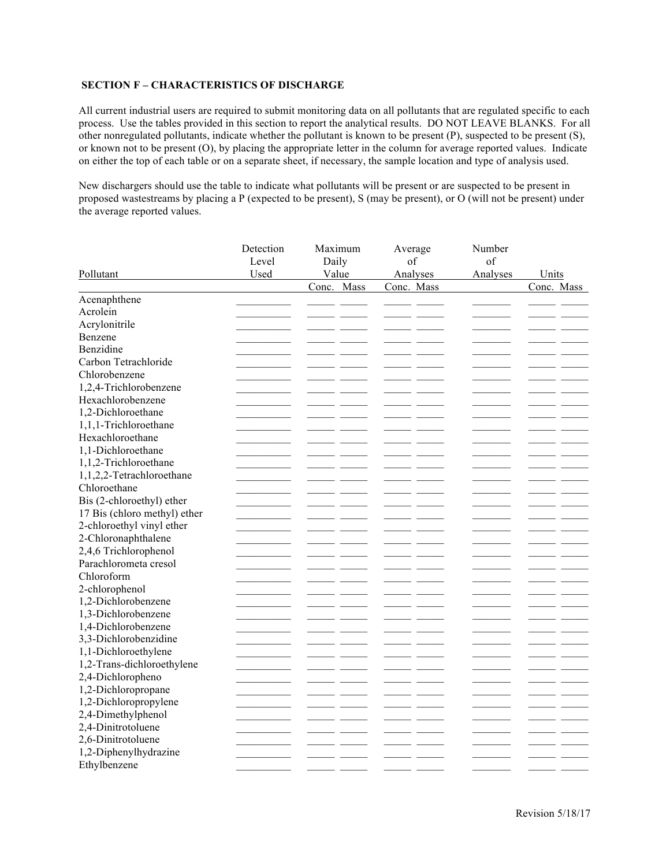#### **SECTION F – CHARACTERISTICS OF DISCHARGE**

All current industrial users are required to submit monitoring data on all pollutants that are regulated specific to each process. Use the tables provided in this section to report the analytical results. DO NOT LEAVE BLANKS. For all other nonregulated pollutants, indicate whether the pollutant is known to be present (P), suspected to be present (S), or known not to be present (O), by placing the appropriate letter in the column for average reported values. Indicate on either the top of each table or on a separate sheet, if necessary, the sample location and type of analysis used.

New dischargers should use the table to indicate what pollutants will be present or are suspected to be present in proposed wastestreams by placing a P (expected to be present), S (may be present), or O (will not be present) under the average reported values.

|                              | Detection | Maximum    | Average    | Number   |            |
|------------------------------|-----------|------------|------------|----------|------------|
|                              | Level     | Daily      | of         | of       |            |
| Pollutant                    | Used      | Value      | Analyses   | Analyses | Units      |
|                              |           | Conc. Mass | Conc. Mass |          | Conc. Mass |
| Acenaphthene                 |           |            |            |          |            |
| Acrolein                     |           |            |            |          |            |
| Acrylonitrile                |           |            |            |          |            |
| Benzene                      |           |            |            |          |            |
| Benzidine                    |           |            |            |          | - -        |
| Carbon Tetrachloride         |           |            |            |          |            |
| Chlorobenzene                |           |            |            |          |            |
| 1,2,4-Trichlorobenzene       |           |            |            |          |            |
| Hexachlorobenzene            |           |            |            |          |            |
| 1,2-Dichloroethane           |           |            |            |          |            |
| 1,1,1-Trichloroethane        |           |            |            |          |            |
| Hexachloroethane             |           |            |            |          |            |
| 1,1-Dichloroethane           |           |            |            |          |            |
| 1,1,2-Trichloroethane        |           |            |            |          |            |
| 1,1,2,2-Tetrachloroethane    |           |            |            |          |            |
| Chloroethane                 |           |            |            |          |            |
| Bis (2-chloroethyl) ether    |           |            |            |          |            |
| 17 Bis (chloro methyl) ether |           |            |            |          |            |
| 2-chloroethyl vinyl ether    |           |            |            |          |            |
| 2-Chloronaphthalene          |           |            |            |          |            |
| 2,4,6 Trichlorophenol        |           |            |            |          |            |
| Parachlorometa cresol        |           |            |            |          |            |
| Chloroform                   |           |            |            |          |            |
| 2-chlorophenol               |           |            |            |          |            |
| 1,2-Dichlorobenzene          |           |            |            |          |            |
| 1,3-Dichlorobenzene          |           |            |            |          |            |
| 1,4-Dichlorobenzene          |           |            |            |          |            |
| 3,3-Dichlorobenzidine        |           |            |            |          |            |
| 1,1-Dichloroethylene         |           |            |            |          |            |
| 1,2-Trans-dichloroethylene   |           |            |            |          |            |
| 2,4-Dichloropheno            |           |            |            |          |            |
| 1,2-Dichloropropane          |           |            |            |          |            |
| 1,2-Dichloropropylene        |           |            |            |          |            |
| 2,4-Dimethylphenol           |           |            |            |          |            |
| 2,4-Dinitrotoluene           |           |            |            |          |            |
| 2,6-Dinitrotoluene           |           |            |            |          |            |
| 1,2-Diphenylhydrazine        |           |            |            |          |            |
| Ethylbenzene                 |           |            |            |          |            |
|                              |           |            |            |          |            |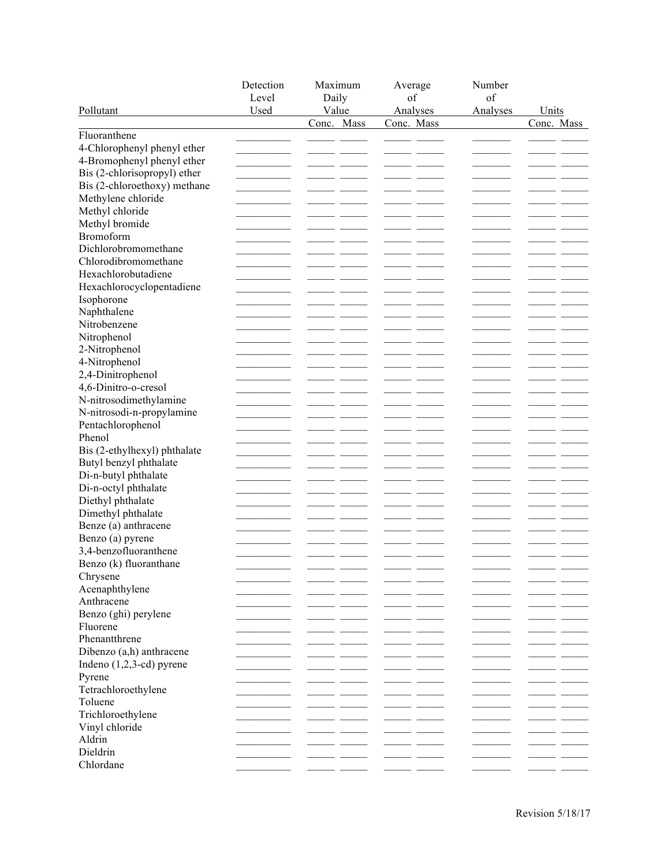| Pollutant                    | Detection<br>Level<br>Used | Maximum<br>Daily<br>Value | Average<br>of<br>Analyses | Number<br>of<br>Analyses | Units      |
|------------------------------|----------------------------|---------------------------|---------------------------|--------------------------|------------|
|                              |                            | Conc. Mass                | Conc. Mass                |                          | Conc. Mass |
| Fluoranthene                 |                            |                           |                           |                          |            |
| 4-Chlorophenyl phenyl ether  |                            |                           |                           |                          |            |
| 4-Bromophenyl phenyl ether   |                            |                           |                           |                          |            |
| Bis (2-chlorisopropyl) ether |                            |                           |                           |                          |            |
| Bis (2-chloroethoxy) methane |                            |                           |                           |                          |            |
| Methylene chloride           |                            |                           |                           |                          |            |
| Methyl chloride              |                            |                           |                           |                          |            |
| Methyl bromide               |                            |                           |                           |                          |            |
| Bromoform                    |                            |                           |                           |                          |            |
| Dichlorobromomethane         |                            |                           |                           |                          |            |
| Chlorodibromomethane         |                            |                           |                           |                          |            |
| Hexachlorobutadiene          |                            |                           |                           |                          |            |
| Hexachlorocyclopentadiene    |                            |                           |                           |                          |            |
| Isophorone                   |                            |                           |                           |                          |            |
| Naphthalene                  |                            |                           |                           |                          |            |
| Nitrobenzene                 |                            |                           |                           |                          |            |
| Nitrophenol                  |                            |                           |                           |                          |            |
| 2-Nitrophenol                |                            |                           |                           |                          |            |
| 4-Nitrophenol                |                            |                           |                           |                          |            |
| 2,4-Dinitrophenol            |                            |                           |                           |                          |            |
| 4,6-Dinitro-o-cresol         |                            |                           |                           |                          |            |
| N-nitrosodimethylamine       |                            |                           |                           |                          |            |
| N-nitrosodi-n-propylamine    |                            |                           |                           |                          |            |
| Pentachlorophenol            |                            |                           |                           |                          |            |
| Phenol                       |                            |                           |                           |                          |            |
| Bis (2-ethylhexyl) phthalate |                            |                           |                           |                          |            |
| Butyl benzyl phthalate       |                            |                           |                           |                          |            |
| Di-n-butyl phthalate         |                            |                           |                           |                          |            |
| Di-n-octyl phthalate         |                            |                           |                           |                          |            |
| Diethyl phthalate            |                            |                           |                           |                          |            |
| Dimethyl phthalate           |                            |                           |                           |                          |            |
| Benze (a) anthracene         |                            |                           |                           |                          |            |
| Benzo (a) pyrene             |                            |                           |                           |                          |            |
| 3,4-benzofluoranthene        |                            |                           |                           |                          |            |
| Benzo (k) fluoranthane       |                            | $\overline{\phantom{a}}$  |                           |                          |            |
| Chrysene                     |                            |                           |                           |                          |            |
| Acenaphthylene               |                            |                           |                           |                          |            |
| Anthracene                   |                            |                           |                           |                          |            |
| Benzo (ghi) perylene         |                            |                           |                           |                          |            |
| Fluorene                     |                            |                           |                           |                          |            |
| Phenantthrene                |                            |                           |                           |                          |            |
| Dibenzo (a,h) anthracene     |                            |                           |                           |                          |            |
| Indeno $(1,2,3$ -cd) pyrene  |                            |                           |                           |                          |            |
| Pyrene                       |                            |                           |                           |                          |            |
| Tetrachloroethylene          |                            |                           |                           |                          |            |
| Toluene                      |                            |                           |                           |                          |            |
| Trichloroethylene            |                            |                           |                           |                          |            |
| Vinyl chloride               |                            |                           |                           |                          |            |
| Aldrin                       |                            |                           |                           |                          |            |
| Dieldrin                     |                            |                           |                           |                          |            |
| Chlordane                    |                            |                           |                           |                          |            |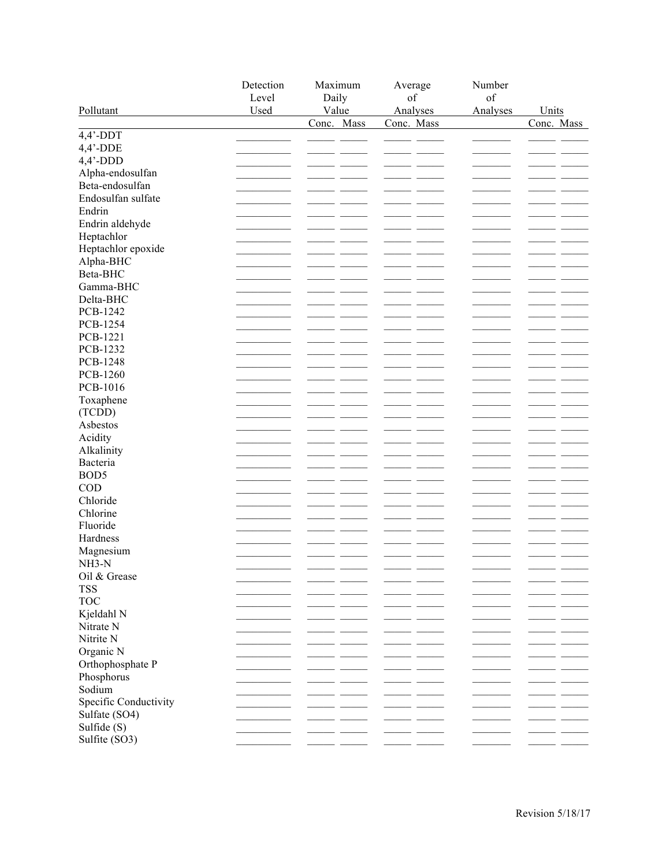|                       | Detection | Maximum                  | Average    | Number   |                          |
|-----------------------|-----------|--------------------------|------------|----------|--------------------------|
|                       | Level     | Daily                    | of         | of       |                          |
| Pollutant             | Used      | Value                    | Analyses   | Analyses | Units                    |
|                       |           | Conc. Mass               | Conc. Mass |          | Conc. Mass               |
| $4,4$ '-DDT           |           |                          |            |          |                          |
| $4,4'$ -DDE           |           |                          |            |          |                          |
| $4,4'$ -DDD           |           |                          |            |          |                          |
| Alpha-endosulfan      |           |                          |            |          |                          |
| Beta-endosulfan       |           |                          |            |          |                          |
| Endosulfan sulfate    |           |                          |            |          |                          |
| Endrin                |           |                          |            |          |                          |
| Endrin aldehyde       |           |                          |            |          |                          |
| Heptachlor            |           |                          |            |          |                          |
| Heptachlor epoxide    |           |                          |            |          |                          |
| Alpha-BHC             |           |                          |            |          |                          |
| Beta-BHC              |           |                          |            |          |                          |
| Gamma-BHC             |           |                          |            |          |                          |
| Delta-BHC             |           |                          |            |          |                          |
| PCB-1242              |           |                          |            |          |                          |
| PCB-1254              |           |                          |            |          |                          |
| PCB-1221              |           |                          |            |          |                          |
| PCB-1232              |           |                          |            |          |                          |
| PCB-1248              |           |                          |            |          |                          |
| PCB-1260              |           |                          |            |          |                          |
| PCB-1016              |           |                          |            |          |                          |
| Toxaphene             |           |                          |            |          |                          |
| (TCDD)                |           |                          |            |          |                          |
| Asbestos              |           |                          |            |          |                          |
| Acidity               |           |                          |            |          |                          |
| Alkalinity            |           |                          |            |          |                          |
| Bacteria              |           |                          |            |          |                          |
| BOD <sub>5</sub>      |           |                          |            |          |                          |
| COD                   |           |                          |            |          |                          |
| Chloride              |           |                          |            |          |                          |
| Chlorine              |           |                          |            |          |                          |
| Fluoride              |           |                          |            |          |                          |
| Hardness              |           |                          |            |          |                          |
| Magnesium             |           |                          |            |          |                          |
| NH3-N                 |           |                          |            |          |                          |
| Oil & Grease          |           | $\overline{\phantom{a}}$ |            |          | $\overline{\phantom{a}}$ |
| <b>TSS</b>            |           |                          |            |          |                          |
| <b>TOC</b>            |           |                          |            |          |                          |
| Kjeldahl N            |           |                          |            |          |                          |
| Nitrate N             |           |                          |            |          |                          |
| Nitrite N             |           |                          |            |          |                          |
| Organic N             |           |                          |            |          |                          |
| Orthophosphate P      |           |                          |            |          |                          |
| Phosphorus            |           |                          |            |          |                          |
| Sodium                |           |                          |            |          |                          |
| Specific Conductivity |           |                          |            |          |                          |
| Sulfate (SO4)         |           |                          |            |          |                          |
| Sulfide (S)           |           |                          |            |          |                          |
| Sulfite (SO3)         |           |                          |            |          |                          |
|                       |           |                          |            |          |                          |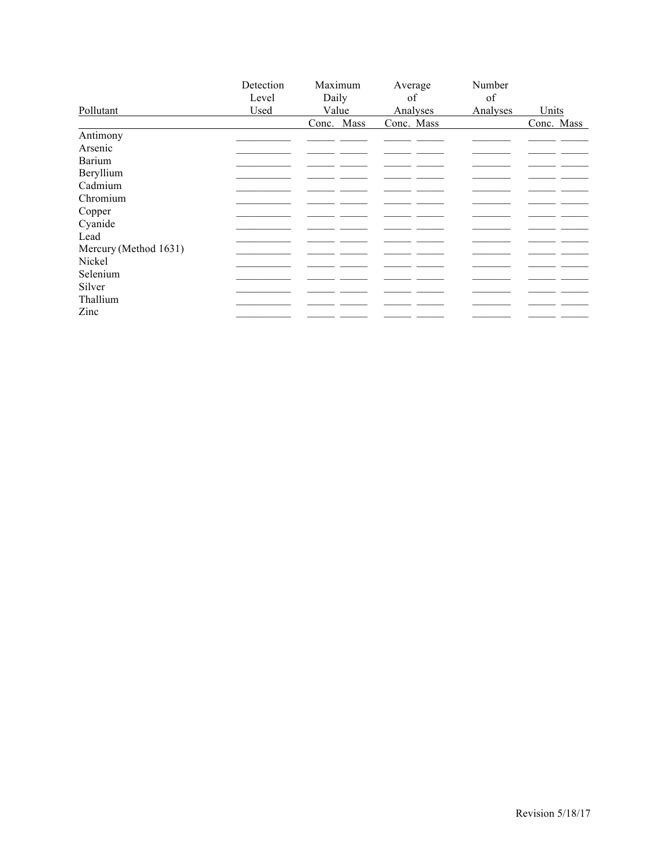|                       | Detection | Maximum    | Average    | Number   |            |
|-----------------------|-----------|------------|------------|----------|------------|
|                       | Level     | Daily      | of         | of       |            |
| Pollutant             | Used      | Value      | Analyses   | Analyses | Units      |
|                       |           | Conc. Mass | Conc. Mass |          | Conc. Mass |
| Antimony              |           |            |            |          |            |
| Arsenic               |           |            |            |          |            |
| <b>Barium</b>         |           |            |            |          |            |
| Beryllium             |           |            |            |          |            |
| Cadmium               |           |            |            |          |            |
| Chromium              |           |            |            |          |            |
| Copper                |           |            |            |          |            |
| Cyanide               |           |            |            |          |            |
| Lead                  |           |            |            |          |            |
| Mercury (Method 1631) |           |            |            |          |            |
| Nickel                |           |            |            |          |            |
| Selenium              |           |            |            |          |            |
| Silver                |           |            |            |          |            |
| Thallium              |           |            |            |          |            |
| Zinc                  |           |            |            |          |            |
|                       |           |            |            |          |            |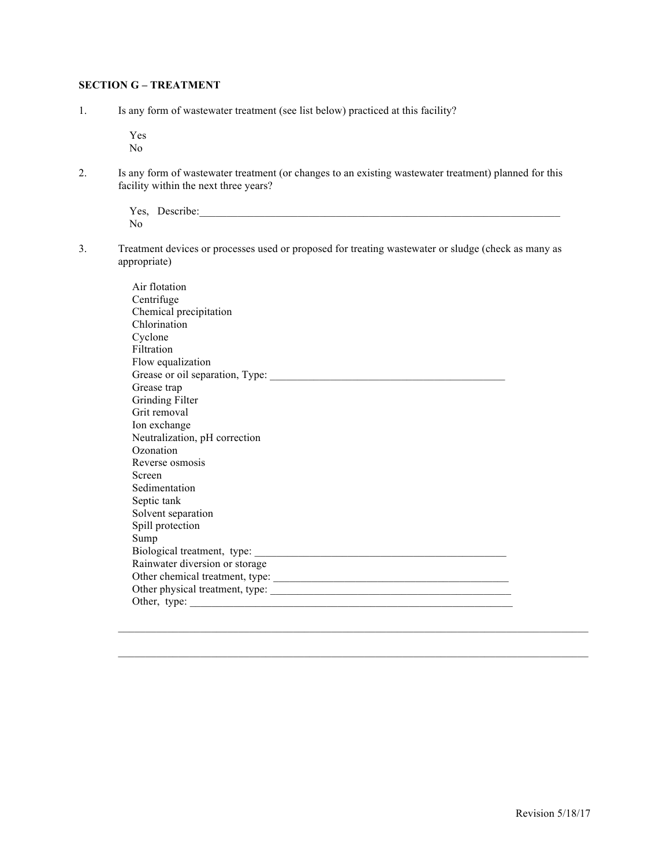## **SECTION G – TREATMENT**

1. Is any form of wastewater treatment (see list below) practiced at this facility?

 Yes No

2. Is any form of wastewater treatment (or changes to an existing wastewater treatment) planned for this facility within the next three years?

> Yes, Describe:\_\_\_\_\_\_\_\_\_\_\_\_\_\_\_\_\_\_\_\_\_\_\_\_\_\_\_\_\_\_\_\_\_\_\_\_\_\_\_\_\_\_\_\_\_\_\_\_\_\_\_\_\_\_\_\_\_\_\_\_\_\_\_\_\_\_ No

3. Treatment devices or processes used or proposed for treating wastewater or sludge (check as many as appropriate)

| Air flotation                   |
|---------------------------------|
| Centrifuge                      |
| Chemical precipitation          |
| Chlorination                    |
| Cyclone                         |
| Filtration                      |
| Flow equalization               |
| Grease or oil separation, Type: |
| Grease trap                     |
| Grinding Filter                 |
| Grit removal                    |
| Ion exchange                    |
| Neutralization, pH correction   |
| Ozonation                       |
| Reverse osmosis                 |
| Screen                          |
| Sedimentation                   |
| Septic tank                     |
| Solvent separation              |
| Spill protection                |
| Sump                            |
|                                 |
| Rainwater diversion or storage  |
|                                 |
| Other physical treatment, type: |
|                                 |

 $\mathcal{L}_\mathcal{L} = \{ \mathcal{L}_\mathcal{L} = \{ \mathcal{L}_\mathcal{L} = \{ \mathcal{L}_\mathcal{L} = \{ \mathcal{L}_\mathcal{L} = \{ \mathcal{L}_\mathcal{L} = \{ \mathcal{L}_\mathcal{L} = \{ \mathcal{L}_\mathcal{L} = \{ \mathcal{L}_\mathcal{L} = \{ \mathcal{L}_\mathcal{L} = \{ \mathcal{L}_\mathcal{L} = \{ \mathcal{L}_\mathcal{L} = \{ \mathcal{L}_\mathcal{L} = \{ \mathcal{L}_\mathcal{L} = \{ \mathcal{L}_\mathcal{$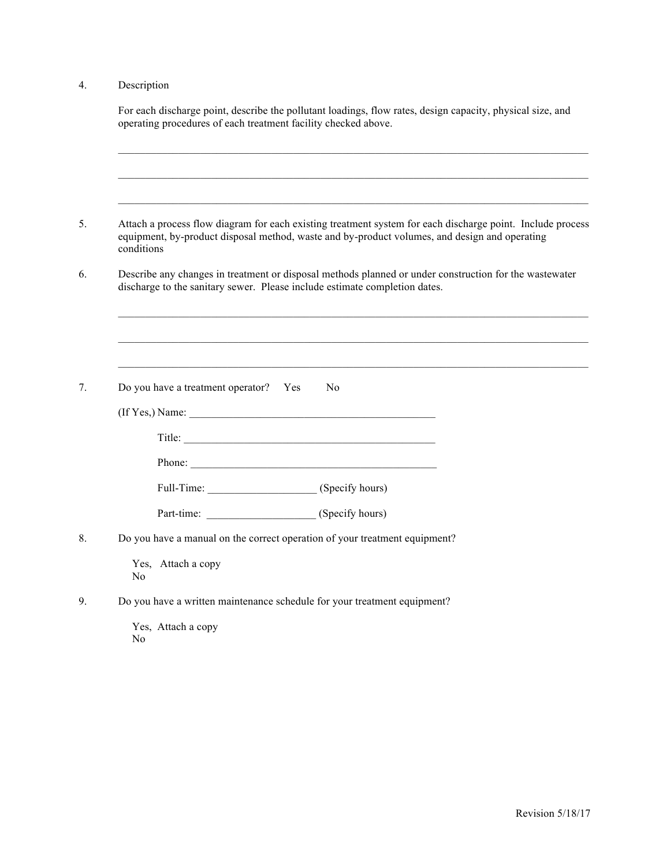## 4. Description

| For each discharge point, describe the pollutant loadings, flow rates, design capacity, physical size, and<br>operating procedures of each treatment facility checked above.                                              |
|---------------------------------------------------------------------------------------------------------------------------------------------------------------------------------------------------------------------------|
|                                                                                                                                                                                                                           |
|                                                                                                                                                                                                                           |
| Attach a process flow diagram for each existing treatment system for each discharge point. Include process<br>equipment, by-product disposal method, waste and by-product volumes, and design and operating<br>conditions |
| Describe any changes in treatment or disposal methods planned or under construction for the wastewater<br>discharge to the sanitary sewer. Please include estimate completion dates.                                      |
|                                                                                                                                                                                                                           |
|                                                                                                                                                                                                                           |
| Do you have a treatment operator? Yes<br>No.                                                                                                                                                                              |
|                                                                                                                                                                                                                           |
|                                                                                                                                                                                                                           |
| Phone:                                                                                                                                                                                                                    |
| Full-Time: (Specify hours)                                                                                                                                                                                                |
|                                                                                                                                                                                                                           |
| Do you have a manual on the correct operation of your treatment equipment?                                                                                                                                                |
| Yes, Attach a copy<br>No                                                                                                                                                                                                  |
| Do you have a written maintenance schedule for your treatment equipment?                                                                                                                                                  |
| Yes, Attach a copy                                                                                                                                                                                                        |

No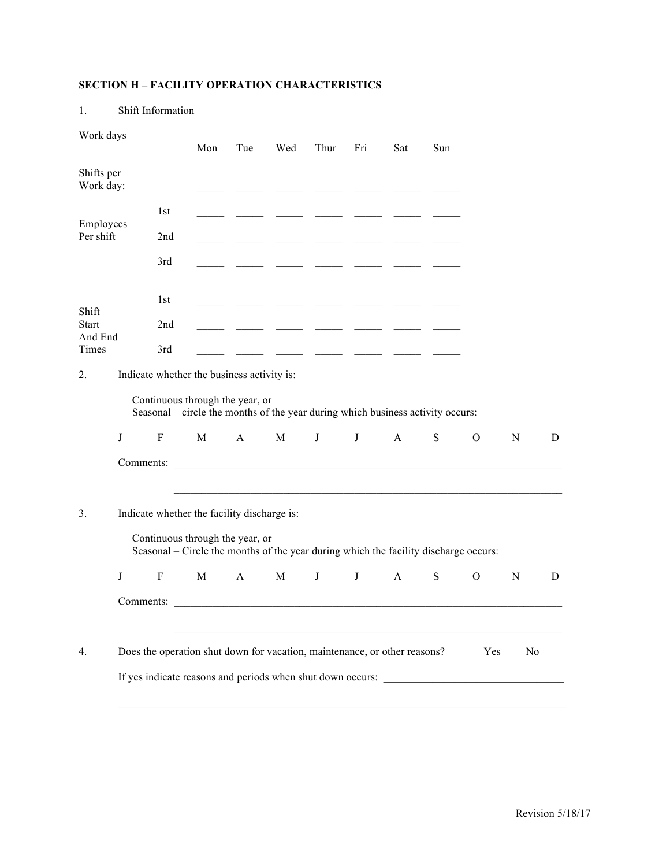# **SECTION H – FACILITY OPERATION CHARACTERISTICS**

| Work days               |   |                                                                                                                                                                        | Mon | Tue          | Wed                      | Thur         | Fri | Sat                                                                                                                   | Sun |               |                |   |
|-------------------------|---|------------------------------------------------------------------------------------------------------------------------------------------------------------------------|-----|--------------|--------------------------|--------------|-----|-----------------------------------------------------------------------------------------------------------------------|-----|---------------|----------------|---|
| Shifts per<br>Work day: |   |                                                                                                                                                                        |     |              |                          |              |     |                                                                                                                       |     |               |                |   |
|                         |   | 1st                                                                                                                                                                    |     |              |                          |              |     |                                                                                                                       |     |               |                |   |
| Employees<br>Per shift  |   | 2nd                                                                                                                                                                    |     |              |                          |              |     |                                                                                                                       |     |               |                |   |
|                         |   | 3rd                                                                                                                                                                    |     |              |                          |              |     |                                                                                                                       |     |               |                |   |
|                         |   | 1st                                                                                                                                                                    |     |              |                          |              |     |                                                                                                                       |     |               |                |   |
| Shift<br><b>Start</b>   |   | 2nd                                                                                                                                                                    |     |              | <b>Contract Contract</b> |              |     |                                                                                                                       |     |               |                |   |
| And End<br>Times        |   | 3rd                                                                                                                                                                    |     |              |                          |              |     | <u> The Common School (1989)</u>                                                                                      |     |               |                |   |
| 2.                      |   | Indicate whether the business activity is:                                                                                                                             |     |              |                          |              |     |                                                                                                                       |     |               |                |   |
|                         |   | Continuous through the year, or<br>Seasonal – circle the months of the year during which business activity occurs:                                                     |     |              |                          |              |     |                                                                                                                       |     |               |                |   |
|                         | J | $\rm F$                                                                                                                                                                | M   | $\mathbf{A}$ | $\mathbf{M}$             | $\bf J$      | J   | $\mathbf{A}$                                                                                                          | S   | $\mathcal{O}$ | ${\bf N}$      | D |
|                         |   |                                                                                                                                                                        |     |              |                          |              |     |                                                                                                                       |     |               |                |   |
| 3.                      |   | Indicate whether the facility discharge is:<br>Continuous through the year, or<br>Seasonal – Circle the months of the year during which the facility discharge occurs: |     |              |                          |              |     | <u> 1989 - Johann Harry Harry Harry Harry Harry Harry Harry Harry Harry Harry Harry Harry Harry Harry Harry Harry</u> |     |               |                |   |
|                         | J | F                                                                                                                                                                      | M   | $\mathbf{A}$ | M                        | $\mathbf{J}$ | J   | A                                                                                                                     | S   | $\mathbf{O}$  | N              | D |
|                         |   |                                                                                                                                                                        |     |              |                          |              |     |                                                                                                                       |     |               |                |   |
| 4.                      |   | Does the operation shut down for vacation, maintenance, or other reasons?                                                                                              |     |              |                          |              |     |                                                                                                                       |     | Yes           | N <sub>o</sub> |   |
|                         |   | If yes indicate reasons and periods when shut down occurs:                                                                                                             |     |              |                          |              |     |                                                                                                                       |     |               |                |   |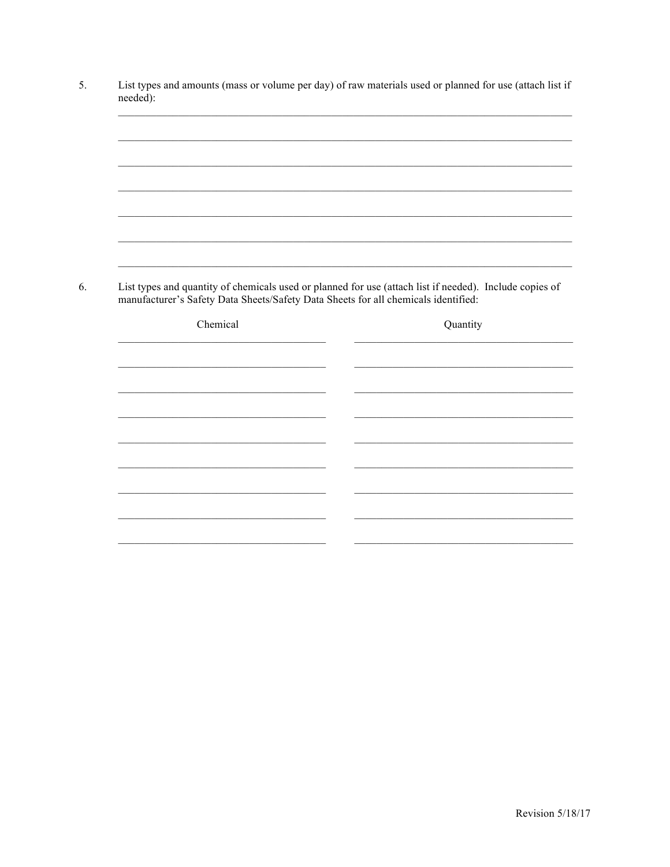| List types and quantity of chemicals used or planned for use (attach list if needed). Include copies of |          |  |
|---------------------------------------------------------------------------------------------------------|----------|--|
| manufacturer's Safety Data Sheets/Safety Data Sheets for all chemicals identified:                      |          |  |
| Chemical                                                                                                | Quantity |  |
|                                                                                                         |          |  |
|                                                                                                         |          |  |
|                                                                                                         |          |  |
|                                                                                                         |          |  |
|                                                                                                         |          |  |
|                                                                                                         |          |  |
|                                                                                                         |          |  |
|                                                                                                         |          |  |
|                                                                                                         |          |  |
|                                                                                                         |          |  |
|                                                                                                         |          |  |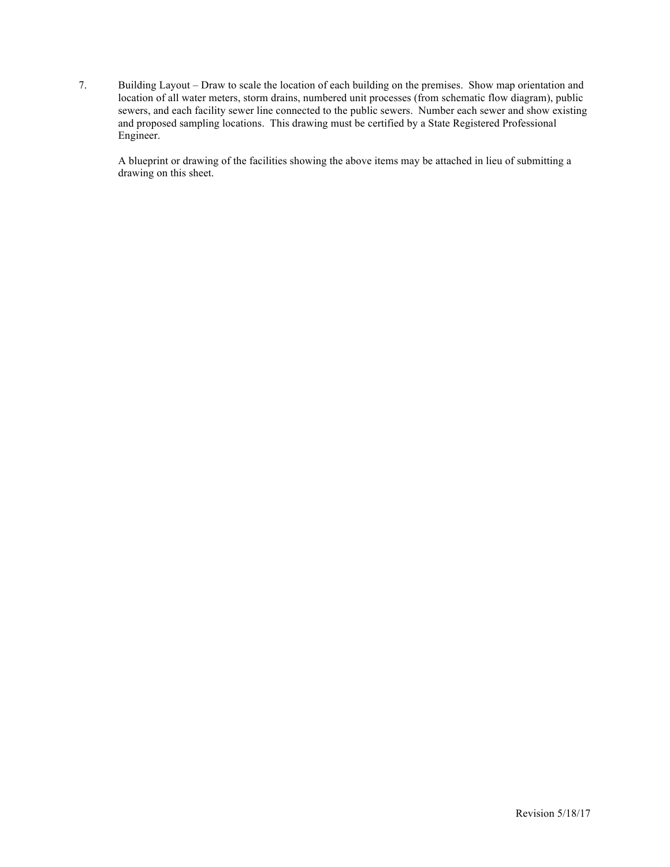7. Building Layout – Draw to scale the location of each building on the premises. Show map orientation and location of all water meters, storm drains, numbered unit processes (from schematic flow diagram), public sewers, and each facility sewer line connected to the public sewers. Number each sewer and show existing and proposed sampling locations. This drawing must be certified by a State Registered Professional Engineer.

A blueprint or drawing of the facilities showing the above items may be attached in lieu of submitting a drawing on this sheet.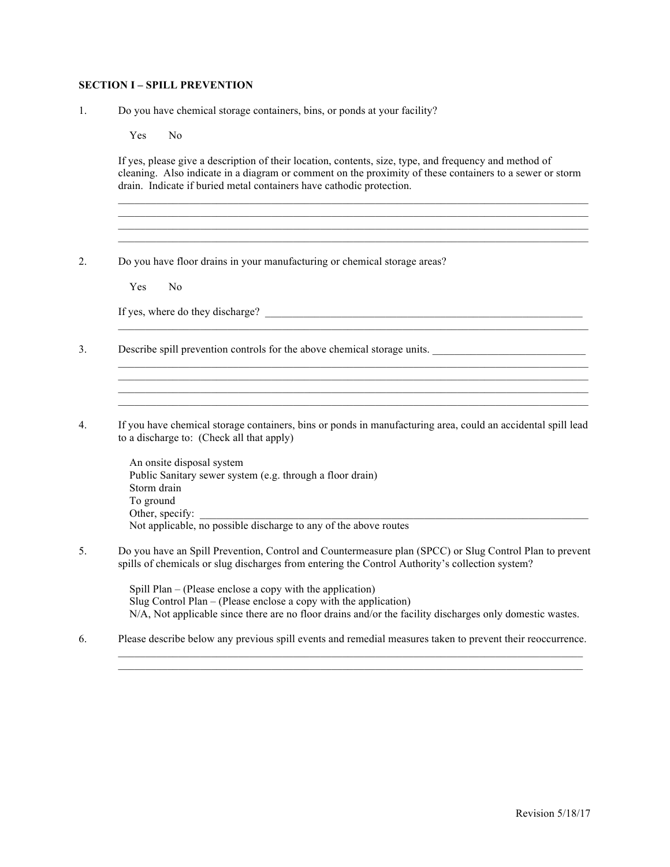#### **SECTION I – SPILL PREVENTION**

1. Do you have chemical storage containers, bins, or ponds at your facility?

Yes No

If yes, please give a description of their location, contents, size, type, and frequency and method of cleaning. Also indicate in a diagram or comment on the proximity of these containers to a sewer or storm drain. Indicate if buried metal containers have cathodic protection.

 $\mathcal{L}_\mathcal{L} = \{ \mathcal{L}_\mathcal{L} = \{ \mathcal{L}_\mathcal{L} = \{ \mathcal{L}_\mathcal{L} = \{ \mathcal{L}_\mathcal{L} = \{ \mathcal{L}_\mathcal{L} = \{ \mathcal{L}_\mathcal{L} = \{ \mathcal{L}_\mathcal{L} = \{ \mathcal{L}_\mathcal{L} = \{ \mathcal{L}_\mathcal{L} = \{ \mathcal{L}_\mathcal{L} = \{ \mathcal{L}_\mathcal{L} = \{ \mathcal{L}_\mathcal{L} = \{ \mathcal{L}_\mathcal{L} = \{ \mathcal{L}_\mathcal{$  $\mathcal{L}_\mathcal{L} = \{ \mathcal{L}_\mathcal{L} = \{ \mathcal{L}_\mathcal{L} = \{ \mathcal{L}_\mathcal{L} = \{ \mathcal{L}_\mathcal{L} = \{ \mathcal{L}_\mathcal{L} = \{ \mathcal{L}_\mathcal{L} = \{ \mathcal{L}_\mathcal{L} = \{ \mathcal{L}_\mathcal{L} = \{ \mathcal{L}_\mathcal{L} = \{ \mathcal{L}_\mathcal{L} = \{ \mathcal{L}_\mathcal{L} = \{ \mathcal{L}_\mathcal{L} = \{ \mathcal{L}_\mathcal{L} = \{ \mathcal{L}_\mathcal{$ 

 $\mathcal{L}_\mathcal{L} = \{ \mathcal{L}_\mathcal{L} = \{ \mathcal{L}_\mathcal{L} = \{ \mathcal{L}_\mathcal{L} = \{ \mathcal{L}_\mathcal{L} = \{ \mathcal{L}_\mathcal{L} = \{ \mathcal{L}_\mathcal{L} = \{ \mathcal{L}_\mathcal{L} = \{ \mathcal{L}_\mathcal{L} = \{ \mathcal{L}_\mathcal{L} = \{ \mathcal{L}_\mathcal{L} = \{ \mathcal{L}_\mathcal{L} = \{ \mathcal{L}_\mathcal{L} = \{ \mathcal{L}_\mathcal{L} = \{ \mathcal{L}_\mathcal{$ 

 $\mathcal{L}_\text{max}$ 

 $\mathcal{L}_\mathcal{L} = \{ \mathcal{L}_\mathcal{L} = \{ \mathcal{L}_\mathcal{L} = \{ \mathcal{L}_\mathcal{L} = \{ \mathcal{L}_\mathcal{L} = \{ \mathcal{L}_\mathcal{L} = \{ \mathcal{L}_\mathcal{L} = \{ \mathcal{L}_\mathcal{L} = \{ \mathcal{L}_\mathcal{L} = \{ \mathcal{L}_\mathcal{L} = \{ \mathcal{L}_\mathcal{L} = \{ \mathcal{L}_\mathcal{L} = \{ \mathcal{L}_\mathcal{L} = \{ \mathcal{L}_\mathcal{L} = \{ \mathcal{L}_\mathcal{$ 

 $\mathcal{L}_\mathcal{L} = \{ \mathcal{L}_\mathcal{L} = \{ \mathcal{L}_\mathcal{L} = \{ \mathcal{L}_\mathcal{L} = \{ \mathcal{L}_\mathcal{L} = \{ \mathcal{L}_\mathcal{L} = \{ \mathcal{L}_\mathcal{L} = \{ \mathcal{L}_\mathcal{L} = \{ \mathcal{L}_\mathcal{L} = \{ \mathcal{L}_\mathcal{L} = \{ \mathcal{L}_\mathcal{L} = \{ \mathcal{L}_\mathcal{L} = \{ \mathcal{L}_\mathcal{L} = \{ \mathcal{L}_\mathcal{L} = \{ \mathcal{L}_\mathcal{$ 

2. Do you have floor drains in your manufacturing or chemical storage areas?

Yes No

If yes, where do they discharge? \_\_\_\_\_\_\_\_\_\_\_\_\_\_\_\_\_\_\_\_\_\_\_\_\_\_\_\_\_\_\_\_\_\_\_\_\_\_\_\_\_\_\_\_\_\_\_\_\_\_\_\_\_\_\_\_\_\_

- 3. Describe spill prevention controls for the above chemical storage units.
- 4. If you have chemical storage containers, bins or ponds in manufacturing area, could an accidental spill lead to a discharge to: (Check all that apply)
	- An onsite disposal system Public Sanitary sewer system (e.g. through a floor drain) Storm drain To ground Other, specify: Not applicable, no possible discharge to any of the above routes
- 5. Do you have an Spill Prevention, Control and Countermeasure plan (SPCC) or Slug Control Plan to prevent spills of chemicals or slug discharges from entering the Control Authority's collection system?

 Spill Plan – (Please enclose a copy with the application) Slug Control Plan – (Please enclose a copy with the application) N/A, Not applicable since there are no floor drains and/or the facility discharges only domestic wastes.

 $\mathcal{L}_\mathcal{L} = \{ \mathcal{L}_\mathcal{L} = \{ \mathcal{L}_\mathcal{L} = \{ \mathcal{L}_\mathcal{L} = \{ \mathcal{L}_\mathcal{L} = \{ \mathcal{L}_\mathcal{L} = \{ \mathcal{L}_\mathcal{L} = \{ \mathcal{L}_\mathcal{L} = \{ \mathcal{L}_\mathcal{L} = \{ \mathcal{L}_\mathcal{L} = \{ \mathcal{L}_\mathcal{L} = \{ \mathcal{L}_\mathcal{L} = \{ \mathcal{L}_\mathcal{L} = \{ \mathcal{L}_\mathcal{L} = \{ \mathcal{L}_\mathcal{$  $\mathcal{L}_\mathcal{L} = \{ \mathcal{L}_\mathcal{L} = \{ \mathcal{L}_\mathcal{L} = \{ \mathcal{L}_\mathcal{L} = \{ \mathcal{L}_\mathcal{L} = \{ \mathcal{L}_\mathcal{L} = \{ \mathcal{L}_\mathcal{L} = \{ \mathcal{L}_\mathcal{L} = \{ \mathcal{L}_\mathcal{L} = \{ \mathcal{L}_\mathcal{L} = \{ \mathcal{L}_\mathcal{L} = \{ \mathcal{L}_\mathcal{L} = \{ \mathcal{L}_\mathcal{L} = \{ \mathcal{L}_\mathcal{L} = \{ \mathcal{L}_\mathcal{$ 

6. Please describe below any previous spill events and remedial measures taken to prevent their reoccurrence.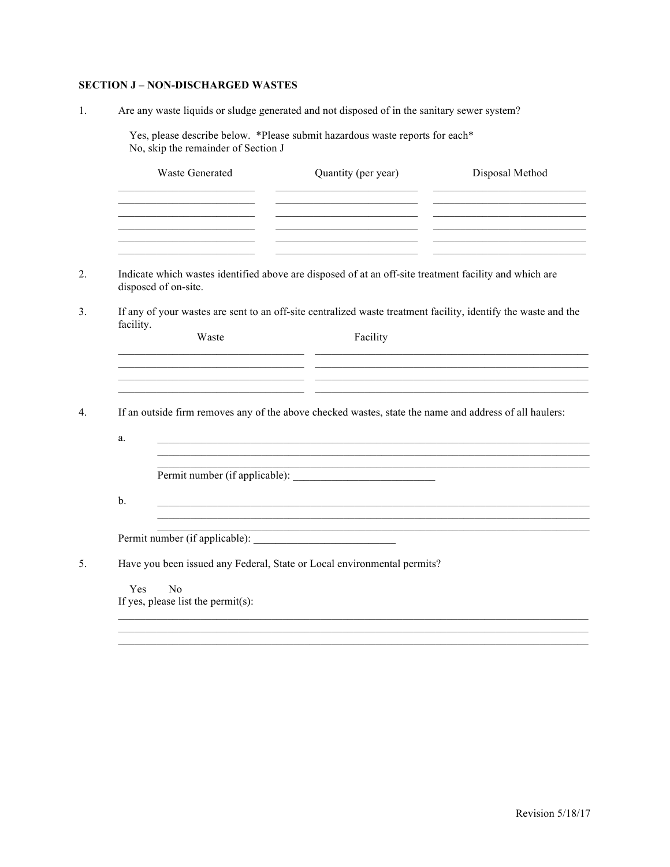## **SECTION J - NON-DISCHARGED WASTES**

 $1.$ Are any waste liquids or sludge generated and not disposed of in the sanitary sewer system?

Yes, please describe below. <br>\*Please submit hazardous waste reports for each<br>\* No, skip the remainder of Section J

|                | <b>Waste Generated</b>                                                     | Quantity (per year)                                                                                                                                                                                                                       | Disposal Method                                                                                                                                                                                                                                                                                                             |
|----------------|----------------------------------------------------------------------------|-------------------------------------------------------------------------------------------------------------------------------------------------------------------------------------------------------------------------------------------|-----------------------------------------------------------------------------------------------------------------------------------------------------------------------------------------------------------------------------------------------------------------------------------------------------------------------------|
|                | the control of the control of the control of the control of                | the control of the control of the control of the control of the control of                                                                                                                                                                | <u> 1989 - Johann John Stone, market fan it ferstjer fan it ferstjer fan it ferstjer fan it ferstjer fan it fers</u><br><u> 1989 - John Harry Harry Harry Harry Harry Harry Harry Harry Harry Harry Harry Harry Harry Harry Harry Harry H</u><br>the control of the control of the control of the control of the control of |
|                | disposed of on-site.                                                       | Indicate which wastes identified above are disposed of at an off-site treatment facility and which are                                                                                                                                    |                                                                                                                                                                                                                                                                                                                             |
|                |                                                                            | If any of your wastes are sent to an off-site centralized waste treatment facility, identify the waste and the                                                                                                                            |                                                                                                                                                                                                                                                                                                                             |
| facility.      | Waste                                                                      | Facility                                                                                                                                                                                                                                  |                                                                                                                                                                                                                                                                                                                             |
|                |                                                                            |                                                                                                                                                                                                                                           | <u> 1980 - Johann John Stone, markin amerikan basar dan berkembang di banyak di banyak di banyak di banyak di banyak di banyak di banyak di banyak di banyak di banyak di banyak di banyak di banyak di banyak di banyak di bany</u>                                                                                        |
|                |                                                                            | <u> 1990 - Jan James James James James James James James James James James James James James James James James J</u>                                                                                                                      |                                                                                                                                                                                                                                                                                                                             |
|                | the control of the control of the control of the control of the control of |                                                                                                                                                                                                                                           |                                                                                                                                                                                                                                                                                                                             |
|                |                                                                            | If an outside firm removes any of the above checked wastes, state the name and address of all haulers:                                                                                                                                    |                                                                                                                                                                                                                                                                                                                             |
| a.             |                                                                            |                                                                                                                                                                                                                                           |                                                                                                                                                                                                                                                                                                                             |
|                |                                                                            |                                                                                                                                                                                                                                           |                                                                                                                                                                                                                                                                                                                             |
|                |                                                                            |                                                                                                                                                                                                                                           |                                                                                                                                                                                                                                                                                                                             |
| $\mathbf{b}$ . |                                                                            |                                                                                                                                                                                                                                           |                                                                                                                                                                                                                                                                                                                             |
|                |                                                                            | and the control of the control of the control of the control of the control of the control of the control of the<br><u> 1989 - Johann Stoff, deutscher Stoff, der Stoff, der Stoff, der Stoff, der Stoff, der Stoff, der Stoff, der S</u> |                                                                                                                                                                                                                                                                                                                             |
|                |                                                                            |                                                                                                                                                                                                                                           |                                                                                                                                                                                                                                                                                                                             |
|                |                                                                            | Have you been issued any Federal, State or Local environmental permits?                                                                                                                                                                   |                                                                                                                                                                                                                                                                                                                             |
| Yes            | No                                                                         |                                                                                                                                                                                                                                           |                                                                                                                                                                                                                                                                                                                             |
|                | If yes, please list the permit $(s)$ :                                     |                                                                                                                                                                                                                                           |                                                                                                                                                                                                                                                                                                                             |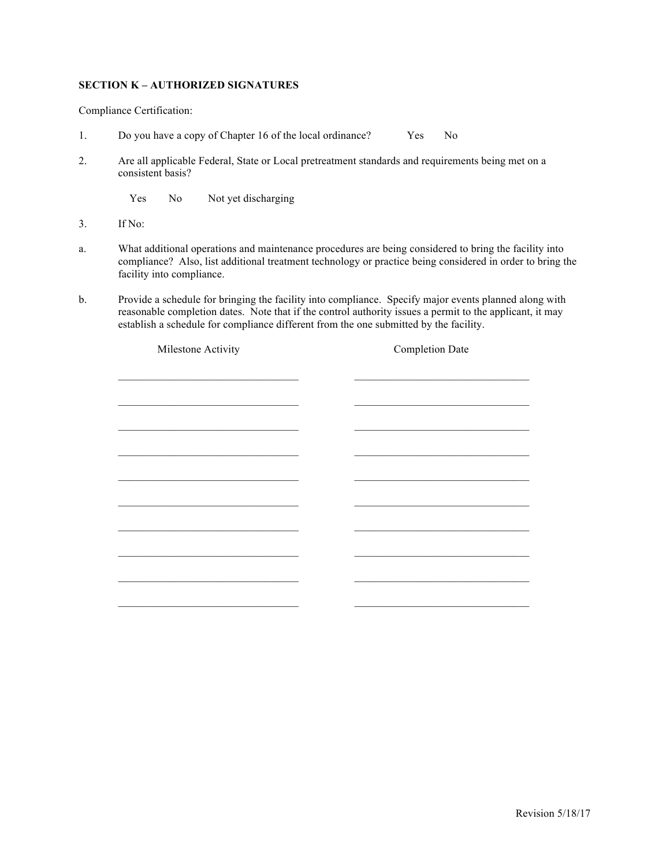#### **SECTION K – AUTHORIZED SIGNATURES**

Compliance Certification:

- 1. Do you have a copy of Chapter 16 of the local ordinance? Yes No
- 2. Are all applicable Federal, State or Local pretreatment standards and requirements being met on a consistent basis?

Yes No Not yet discharging

- 3. If No:
- a. What additional operations and maintenance procedures are being considered to bring the facility into compliance? Also, list additional treatment technology or practice being considered in order to bring the facility into compliance.
- b. Provide a schedule for bringing the facility into compliance. Specify major events planned along with reasonable completion dates. Note that if the control authority issues a permit to the applicant, it may establish a schedule for compliance different from the one submitted by the facility.

| Milestone Activity                                                                                                     | <b>Completion Date</b> |
|------------------------------------------------------------------------------------------------------------------------|------------------------|
|                                                                                                                        |                        |
|                                                                                                                        |                        |
| <u> 1989 - Johann Stoff, deutscher Stoffen und der Stoffen und der Stoffen und der Stoffen und der Stoffen und der</u> |                        |
|                                                                                                                        |                        |
|                                                                                                                        |                        |
|                                                                                                                        |                        |
|                                                                                                                        |                        |
|                                                                                                                        |                        |
|                                                                                                                        |                        |
| the control of the control of the control of the control of the control of the control of                              |                        |
|                                                                                                                        |                        |
|                                                                                                                        |                        |
|                                                                                                                        |                        |
|                                                                                                                        |                        |